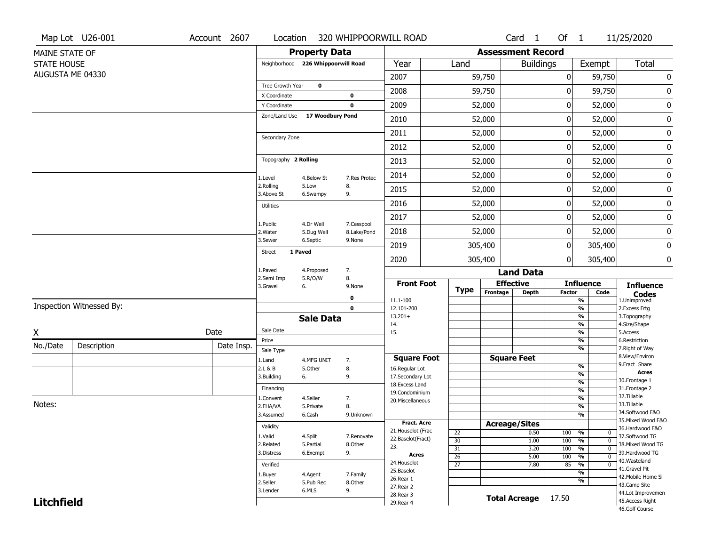|                    | Map Lot U26-001          | Account 2607 | Location                |                                    |                           | 320 WHIPPOORWILL ROAD             |                 |                          | Card <sub>1</sub>   | Of $1$        |                                           | 11/25/2020                                                  |
|--------------------|--------------------------|--------------|-------------------------|------------------------------------|---------------------------|-----------------------------------|-----------------|--------------------------|---------------------|---------------|-------------------------------------------|-------------------------------------------------------------|
| MAINE STATE OF     |                          |              |                         | <b>Property Data</b>               |                           |                                   |                 | <b>Assessment Record</b> |                     |               |                                           |                                                             |
| <b>STATE HOUSE</b> |                          |              |                         | Neighborhood 226 Whippoorwill Road |                           | Year                              | Land            |                          | <b>Buildings</b>    |               | Exempt                                    | Total                                                       |
|                    | AUGUSTA ME 04330         |              |                         |                                    |                           | 2007                              |                 | 59,750                   |                     | 0             | 59,750                                    | 0                                                           |
|                    |                          |              | Tree Growth Year        | $\mathbf 0$                        |                           | 2008                              |                 | 59,750                   |                     | 0             | 59,750                                    |                                                             |
|                    |                          |              | X Coordinate            |                                    | 0                         |                                   |                 |                          |                     |               |                                           | 0                                                           |
|                    |                          |              | Y Coordinate            |                                    | 0                         | 2009                              |                 | 52,000                   |                     | 0             | 52,000                                    | $\pmb{0}$                                                   |
|                    |                          |              | Zone/Land Use           | 17 Woodbury Pond                   |                           | 2010                              |                 | 52,000                   |                     | 0             | 52,000                                    | 0                                                           |
|                    |                          |              | Secondary Zone          |                                    |                           | 2011                              |                 | 52,000                   |                     | 0             | 52,000                                    | 0                                                           |
|                    |                          |              |                         |                                    |                           | 2012                              |                 | 52,000                   |                     | $\pmb{0}$     | 52,000                                    | 0                                                           |
|                    |                          |              | Topography 2 Rolling    |                                    |                           | 2013                              |                 | 52,000                   |                     | 0             | 52,000                                    | 0                                                           |
|                    |                          |              | 1.Level                 | 4.Below St                         | 7.Res Protec              | 2014                              |                 | 52,000                   |                     | 0             | 52,000                                    | 0                                                           |
|                    |                          |              | 2.Rolling<br>3.Above St | 5.Low<br>6.Swampy                  | 8.<br>9.                  | 2015                              |                 | 52,000                   |                     | 0             | 52,000                                    | $\pmb{0}$                                                   |
|                    |                          |              | <b>Utilities</b>        |                                    |                           | 2016                              |                 | 52,000                   |                     | $\pmb{0}$     | 52,000                                    | 0                                                           |
|                    |                          |              |                         |                                    |                           | 2017                              |                 | 52,000                   |                     | 0             | 52,000                                    | 0                                                           |
|                    |                          |              | 1.Public<br>2.Water     | 4.Dr Well<br>5.Dug Well            | 7.Cesspool<br>8.Lake/Pond | 2018                              |                 | 52,000                   |                     | 0             | 52,000                                    | $\pmb{0}$                                                   |
|                    |                          |              | 3.Sewer                 | 6.Septic                           | 9.None                    | 2019                              |                 | 305,400                  |                     | 0             | 305,400                                   | 0                                                           |
|                    |                          |              | <b>Street</b>           | 1 Paved                            |                           | 2020                              |                 | 305,400                  |                     | $\mathbf 0$   | 305,400                                   | 0                                                           |
|                    |                          |              | 1.Paved<br>2.Semi Imp   | 4.Proposed<br>5.R/O/W              | 7.<br>8.                  |                                   |                 |                          | <b>Land Data</b>    |               |                                           |                                                             |
|                    |                          |              | 3.Gravel                | 6.                                 | 9.None                    | <b>Front Foot</b>                 | <b>Type</b>     |                          | <b>Effective</b>    |               | <b>Influence</b>                          | <b>Influence</b>                                            |
|                    |                          |              |                         |                                    | $\mathbf 0$               | 11.1-100                          |                 | Frontage                 | <b>Depth</b>        | <b>Factor</b> | Code<br>$\overline{\frac{9}{6}}$          | $\mathop{{\textbf{Codes}}}\limits_{\text{1.Uniformproved}}$ |
|                    | Inspection Witnessed By: |              |                         |                                    | 0                         | 12.101-200                        |                 |                          |                     |               | $\frac{9}{6}$                             | 2. Excess Frtg                                              |
|                    |                          |              |                         | <b>Sale Data</b>                   |                           | $13.201+$<br>14.                  |                 |                          |                     |               | $\frac{9}{6}$<br>$\frac{9}{6}$            | 3. Topography<br>4.Size/Shape                               |
| Χ                  |                          | Date         | Sale Date               |                                    |                           | 15.                               |                 |                          |                     |               | $\frac{1}{2}$                             | 5.Access                                                    |
| No./Date           | Description              | Date Insp.   | Price                   |                                    |                           |                                   |                 |                          |                     |               | %<br>$\frac{9}{6}$                        | 6.Restriction<br>7. Right of Way                            |
|                    |                          |              | Sale Type<br>1.Land     | 4.MFG UNIT                         | 7.                        | <b>Square Foot</b>                |                 |                          | <b>Square Feet</b>  |               |                                           | 8.View/Environ                                              |
|                    |                          |              | 2.L & B                 | 5.Other                            | 8.                        | 16.Regular Lot                    |                 |                          |                     |               | $\frac{9}{6}$                             | 9. Fract Share                                              |
|                    |                          |              | 3.Building              | 6.                                 | 9.                        | 17.Secondary Lot                  |                 |                          |                     |               | %<br>%                                    | <b>Acres</b><br>30.Frontage 1                               |
|                    |                          |              | Financing               |                                    |                           | 18. Excess Land<br>19.Condominium |                 |                          |                     |               | $\frac{9}{6}$                             | 31. Frontage 2                                              |
|                    |                          |              | 1.Convent               | 4.Seller                           | 7.                        | 20.Miscellaneous                  |                 |                          |                     |               | %                                         | 32. Tillable                                                |
| Notes:             |                          |              | 2.FHA/VA                | 5.Private                          | 8.                        |                                   |                 |                          |                     |               | $\frac{9}{6}$                             | 33.Tillable<br>34.Softwood F&O                              |
|                    |                          |              | 3.Assumed               | 6.Cash                             | 9.Unknown                 | Fract. Acre                       |                 |                          |                     |               | %                                         | 35. Mixed Wood F&O                                          |
|                    |                          |              | Validity                |                                    |                           | 21. Houselot (Frac                | $\overline{22}$ | <b>Acreage/Sites</b>     | 0.50                | 100 %         | 0                                         | 36.Hardwood F&O                                             |
|                    |                          |              | 1.Valid                 | 4.Split                            | 7.Renovate                | 22.Baselot(Fract)                 | 30              |                          | 1.00                | 100           | $\frac{9}{6}$<br>$\mathbf 0$              | 37.Softwood TG                                              |
|                    |                          |              | 2.Related<br>3.Distress | 5.Partial                          | 8.Other                   | 23.                               | $\overline{31}$ |                          | 3.20                | 100           | $\frac{9}{6}$<br>$\mathbf 0$              | 38. Mixed Wood TG<br>39.Hardwood TG                         |
|                    |                          |              |                         | 6.Exempt                           | 9.                        | Acres                             | 26              |                          | 5.00                | 100           | $\frac{9}{6}$<br>0                        | 40. Wasteland                                               |
|                    |                          |              | Verified                |                                    |                           | 24. Houselot<br>25.Baselot        | $\overline{27}$ |                          | 7.80                | 85            | $\frac{9}{6}$<br>0                        | 41.Gravel Pit                                               |
|                    |                          |              | 1.Buyer                 | 4.Agent                            | 7.Family                  | 26.Rear 1                         |                 |                          |                     |               | $\overline{\frac{9}{6}}$<br>$\frac{9}{6}$ | 42. Mobile Home Si                                          |
|                    |                          |              | 2.Seller<br>3.Lender    | 5.Pub Rec<br>6.MLS                 | 8.Other<br>9.             | 27.Rear 2                         |                 |                          |                     |               |                                           | 43.Camp Site                                                |
|                    | <b>Litchfield</b>        |              |                         |                                    |                           |                                   |                 |                          |                     |               |                                           | 44.Lot Improvemen                                           |
|                    |                          |              |                         |                                    |                           | 28. Rear 3<br>29. Rear 4          |                 |                          | Total Acreage 17.50 |               |                                           | 45.Access Right                                             |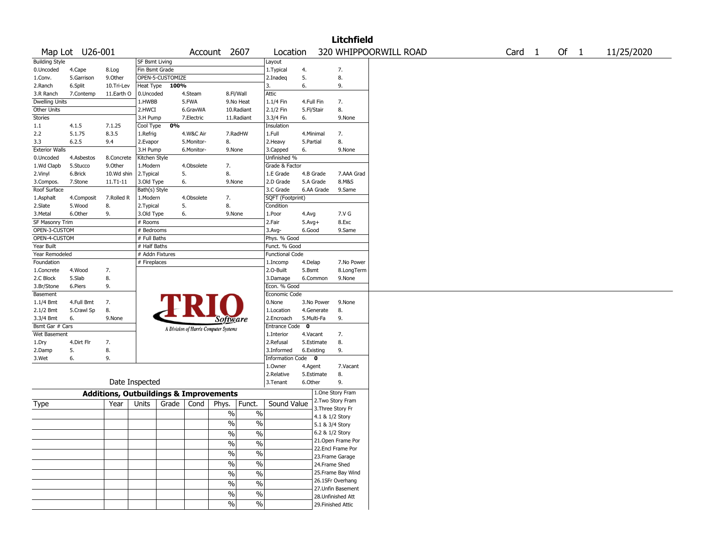|                       |                 |              |                       |                  |            |                                                   |                          |                         |             |                 | Litchfield            |  |  |        |        |            |
|-----------------------|-----------------|--------------|-----------------------|------------------|------------|---------------------------------------------------|--------------------------|-------------------------|-------------|-----------------|-----------------------|--|--|--------|--------|------------|
|                       | Map Lot U26-001 |              |                       |                  |            | Account 2607                                      |                          | Location                |             |                 | 320 WHIPPOORWILL ROAD |  |  | Card 1 | Of $1$ | 11/25/2020 |
| <b>Building Style</b> |                 |              | <b>SF Bsmt Living</b> |                  |            |                                                   |                          | Layout                  |             |                 |                       |  |  |        |        |            |
| 0.Uncoded             | 4.Cape          | 8.Log        | Fin Bsmt Grade        |                  |            |                                                   |                          | 1.Typical               | 4.          |                 | 7.                    |  |  |        |        |            |
| 1.Conv.               | 5.Garrison      | 9.Other      |                       | OPEN-5-CUSTOMIZE |            |                                                   |                          | 2.Inadeq                | 5.          |                 | 8.                    |  |  |        |        |            |
| 2.Ranch               | 6.Split         | 10.Tri-Lev   | Heat Type             | 100%             |            |                                                   |                          | 3.                      | 6.          |                 | 9.                    |  |  |        |        |            |
| 3.R Ranch             | 7.Contemp       | 11.Earth O   | 0.Uncoded             |                  | 4.Steam    | 8.Fl/Wall                                         |                          | Attic                   |             |                 |                       |  |  |        |        |            |
| <b>Dwelling Units</b> |                 |              | 1.HWBB                |                  | 5.FWA      | 9.No Heat                                         |                          | 1.1/4 Fin               | 4.Full Fin  |                 | 7.                    |  |  |        |        |            |
| Other Units           |                 |              | 2.HWCI                |                  | 6.GravWA   |                                                   | 10.Radiant               | 2.1/2 Fin               | 5.Fl/Stair  |                 | 8.                    |  |  |        |        |            |
| <b>Stories</b>        |                 |              | 3.H Pump              |                  | 7.Electric | 11.Radiant                                        |                          | 3.3/4 Fin               | 6.          |                 | 9.None                |  |  |        |        |            |
| 1.1                   | 4.1.5           | 7.1.25       | Cool Type             | 0%               |            |                                                   |                          | Insulation              |             |                 |                       |  |  |        |        |            |
| 2.2                   | 5.1.75          | 8.3.5        | 1.Refrig              |                  | 4.W&C Air  | 7.RadHW                                           |                          | 1.Full                  | 4.Minimal   |                 | 7.                    |  |  |        |        |            |
| 3.3                   | 6.2.5           | 9.4          | 2.Evapor              |                  | 5.Monitor- | 8.                                                |                          | 2.Heavy                 | 5.Partial   |                 | 8.                    |  |  |        |        |            |
| <b>Exterior Walls</b> |                 |              | 3.H Pump              |                  | 6.Monitor- | 9.None                                            |                          | 3.Capped                | 6.          |                 | 9.None                |  |  |        |        |            |
| 0.Uncoded             | 4.Asbestos      | 8.Concrete   | Kitchen Style         |                  |            |                                                   |                          | Unfinished %            |             |                 |                       |  |  |        |        |            |
| 1.Wd Clapb            | 5.Stucco        | 9.0ther      | 1.Modern              |                  | 4.Obsolete | 7.                                                |                          | Grade & Factor          |             |                 |                       |  |  |        |        |            |
| 2.Vinyl               | 6.Brick         | 10.Wd shin   | 2.Typical             |                  | 5.         | 8.                                                |                          | 1.E Grade               | 4.B Grade   |                 | 7.AAA Grad            |  |  |        |        |            |
| 3.Compos.             | 7.Stone         | $11.71 - 11$ | 3.Old Type            |                  | 6.         | 9.None                                            |                          | 2.D Grade               | 5.A Grade   |                 | 8.M&S                 |  |  |        |        |            |
| Roof Surface          |                 |              | Bath(s) Style         |                  |            |                                                   |                          | 3.C Grade               |             | 6.AA Grade      | 9.Same                |  |  |        |        |            |
| 1.Asphalt             | 4.Composit      | 7.Rolled R   | 1.Modern              |                  | 4.Obsolete | 7.                                                |                          | SQFT (Footprint)        |             |                 |                       |  |  |        |        |            |
| 2.Slate               | 5.Wood          | 8.           | 2. Typical            |                  | 5.         | 8.                                                |                          | Condition               |             |                 |                       |  |  |        |        |            |
| 3.Metal               | 6.Other         | 9.           | 3.Old Type            |                  | 6.         | 9.None                                            |                          | 1.Poor                  | 4.Avg       |                 | 7.V G                 |  |  |        |        |            |
| SF Masonry Trim       |                 |              | # Rooms               |                  |            |                                                   |                          | 2.Fair                  | $5.Avg+$    |                 | 8.Exc                 |  |  |        |        |            |
| OPEN-3-CUSTOM         |                 |              | # Bedrooms            |                  |            |                                                   |                          | $3.Avg-$                | 6.Good      |                 | 9.Same                |  |  |        |        |            |
| OPEN-4-CUSTOM         |                 |              | # Full Baths          |                  |            |                                                   |                          | Phys. % Good            |             |                 |                       |  |  |        |        |            |
| Year Built            |                 |              | # Half Baths          |                  |            |                                                   |                          | Funct. % Good           |             |                 |                       |  |  |        |        |            |
| Year Remodeled        |                 |              | # Addn Fixtures       |                  |            |                                                   |                          | <b>Functional Code</b>  |             |                 |                       |  |  |        |        |            |
| Foundation            |                 |              | # Fireplaces          |                  |            |                                                   |                          | 1.Incomp                | 4.Delap     |                 | 7.No Power            |  |  |        |        |            |
| 1.Concrete            | 4.Wood          | 7.           |                       |                  |            |                                                   |                          | 2.O-Built               | 5.Bsmt      |                 | 8.LongTerm            |  |  |        |        |            |
| 2.C Block             | 5.Slab          | 8.           |                       |                  |            |                                                   |                          | 3.Damage                |             | 6.Common        | 9.None                |  |  |        |        |            |
| 3.Br/Stone            | 6.Piers         | 9.           |                       |                  |            |                                                   |                          | Econ. % Good            |             |                 |                       |  |  |        |        |            |
| Basement              |                 |              |                       |                  |            |                                                   |                          | Economic Code           |             |                 |                       |  |  |        |        |            |
| 1.1/4 Bmt             | 4.Full Bmt      | 7.           |                       |                  |            |                                                   |                          | 0.None                  |             | 3.No Power      | 9.None                |  |  |        |        |            |
| 2.1/2 Bmt             | 5.Crawl Sp      | 8.           |                       |                  |            |                                                   |                          | 1.Location              |             | 4.Generate      | 8.                    |  |  |        |        |            |
| 3.3/4 Bmt             | 6.              | 9.None       |                       |                  |            |                                                   |                          | 2.Encroach              | 5.Multi-Fa  |                 | 9.                    |  |  |        |        |            |
| Bsmt Gar # Cars       |                 |              |                       |                  |            | <i>Software</i>                                   |                          | <b>Entrance Code</b>    | $\mathbf 0$ |                 |                       |  |  |        |        |            |
| Wet Basement          |                 |              |                       |                  |            | A Division of Harris Computer Systems             |                          | 1.Interior              | 4.Vacant    |                 | 7.                    |  |  |        |        |            |
|                       | 4.Dirt Flr      | 7.           |                       |                  |            |                                                   |                          | 2.Refusal               |             | 5.Estimate      | 8.                    |  |  |        |        |            |
| 1.Dry<br>2.Damp       | 5.              | 8.           |                       |                  |            |                                                   |                          | 3.Informed              | 6.Existing  |                 | 9.                    |  |  |        |        |            |
| 3.Wet                 | 6.              | 9.           |                       |                  |            |                                                   |                          | <b>Information Code</b> |             | $\mathbf 0$     |                       |  |  |        |        |            |
|                       |                 |              |                       |                  |            |                                                   |                          | 1.Owner                 |             |                 | 7.Vacant              |  |  |        |        |            |
|                       |                 |              |                       |                  |            |                                                   |                          | 2.Relative              | 4.Agent     | 5.Estimate      | 8.                    |  |  |        |        |            |
|                       |                 |              | Date Inspected        |                  |            |                                                   |                          | 3.Tenant                | 6.Other     |                 | 9.                    |  |  |        |        |            |
|                       |                 |              |                       |                  |            |                                                   |                          |                         |             |                 | 1.One Story Fram      |  |  |        |        |            |
|                       |                 |              |                       |                  |            | <b>Additions, Outbuildings &amp; Improvements</b> |                          |                         |             |                 | 2. Two Story Fram     |  |  |        |        |            |
| Type                  |                 | Year         | Units                 | Grade            | Cond       | Phys.                                             | Funct.                   | Sound Value             |             |                 | 3. Three Story Fr     |  |  |        |        |            |
|                       |                 |              |                       |                  |            | $\%$                                              | $\%$                     |                         |             | 4.1 & 1/2 Story |                       |  |  |        |        |            |
|                       |                 |              |                       |                  |            | $\%$                                              | %                        |                         |             | 5.1 & 3/4 Story |                       |  |  |        |        |            |
|                       |                 |              |                       |                  |            |                                                   |                          |                         |             | 6.2 & 1/2 Story |                       |  |  |        |        |            |
|                       |                 |              |                       |                  |            | $\sqrt{6}$                                        | $\sqrt[6]{6}$            |                         |             |                 | 21. Open Frame Por    |  |  |        |        |            |
|                       |                 |              |                       |                  |            | $\%$                                              | $\%$                     |                         |             |                 | 22.Encl Frame Por     |  |  |        |        |            |
|                       |                 |              |                       |                  |            | $\sqrt{6}$                                        | $\%$                     |                         |             |                 | 23. Frame Garage      |  |  |        |        |            |
|                       |                 |              |                       |                  |            | $\sqrt{6}$                                        | $\overline{\frac{0}{6}}$ |                         |             | 24.Frame Shed   |                       |  |  |        |        |            |
|                       |                 |              |                       |                  |            |                                                   |                          |                         |             |                 | 25.Frame Bay Wind     |  |  |        |        |            |
|                       |                 |              |                       |                  |            | $\sqrt{6}$                                        | $\overline{\frac{0}{6}}$ |                         |             |                 |                       |  |  |        |        |            |
|                       |                 |              |                       |                  |            | $\sqrt{6}$                                        | $\overline{\frac{0}{6}}$ |                         |             |                 | 26.1SFr Overhang      |  |  |        |        |            |
|                       |                 |              |                       |                  |            | $\sqrt{6}$                                        | $\frac{1}{2}$            |                         |             |                 | 27.Unfin Basement     |  |  |        |        |            |
|                       |                 |              |                       |                  |            |                                                   |                          |                         |             |                 | 28. Unfinished Att    |  |  |        |        |            |
|                       |                 |              |                       |                  |            | $\sqrt{6}$                                        | $\frac{1}{2}$            |                         |             |                 | 29. Finished Attic    |  |  |        |        |            |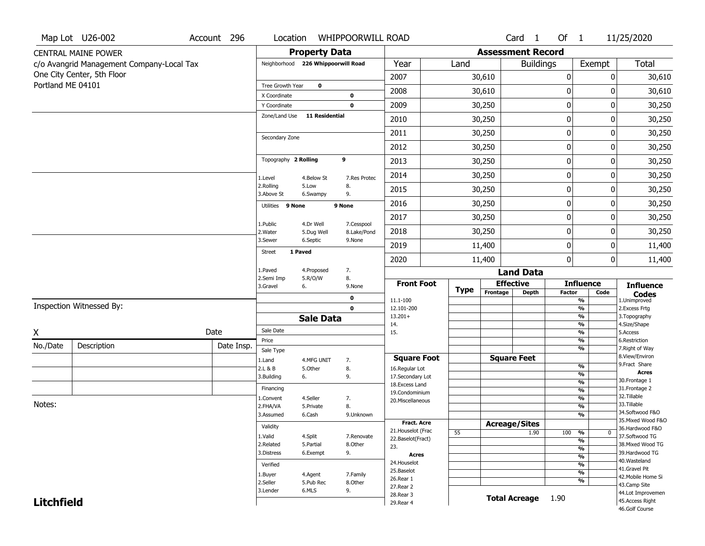|                   | Map Lot U26-002                           | Account 296 | Location                           |                         | <b>WHIPPOORWILL ROAD</b>  |                                    |             |                      | Card <sub>1</sub>        | Of 1          |                                                      | 11/25/2020                           |
|-------------------|-------------------------------------------|-------------|------------------------------------|-------------------------|---------------------------|------------------------------------|-------------|----------------------|--------------------------|---------------|------------------------------------------------------|--------------------------------------|
|                   | <b>CENTRAL MAINE POWER</b>                |             |                                    | <b>Property Data</b>    |                           |                                    |             |                      | <b>Assessment Record</b> |               |                                                      |                                      |
|                   | c/o Avangrid Management Company-Local Tax |             | Neighborhood 226 Whippoorwill Road |                         |                           | Year                               | Land        |                      | <b>Buildings</b>         |               | Exempt                                               | <b>Total</b>                         |
|                   | One City Center, 5th Floor                |             |                                    |                         |                           | 2007                               |             | 30,610               |                          | 0             | $\mathbf{0}$                                         | 30,610                               |
| Portland ME 04101 |                                           |             | Tree Growth Year                   | $\bf o$                 |                           | 2008                               |             | 30,610               |                          | 0             | 0                                                    | 30,610                               |
|                   |                                           |             | X Coordinate<br>Y Coordinate       |                         | 0<br>$\mathbf 0$          | 2009                               |             | 30,250               |                          | 0             |                                                      | 0<br>30,250                          |
|                   |                                           |             | Zone/Land Use                      | <b>11 Residential</b>   |                           | 2010                               |             | 30,250               |                          | 0             | 0                                                    | 30,250                               |
|                   |                                           |             |                                    |                         |                           | 2011                               |             |                      |                          | $\mathbf 0$   | 0                                                    |                                      |
|                   |                                           |             | Secondary Zone                     |                         |                           |                                    |             | 30,250               |                          |               |                                                      | 30,250                               |
|                   |                                           |             |                                    |                         |                           | 2012                               |             | 30,250               |                          | 0             |                                                      | 0<br>30,250                          |
|                   |                                           |             | Topography 2 Rolling               |                         | 9                         | 2013                               |             | 30,250               |                          | 0             | 0                                                    | 30,250                               |
|                   |                                           |             | 1.Level                            | 4.Below St              | 7.Res Protec              | 2014                               |             | 30,250               |                          | 0             |                                                      | 0<br>30,250                          |
|                   |                                           |             | 2.Rolling<br>3.Above St            | 5.Low<br>6.Swampy       | 8.<br>9.                  | 2015                               |             | 30,250               |                          | $\mathbf 0$   | 0                                                    | 30,250                               |
|                   |                                           |             | Utilities 9 None                   |                         | 9 None                    | 2016                               |             | 30,250               |                          | 0             | 0                                                    | 30,250                               |
|                   |                                           |             |                                    |                         |                           | 2017                               |             | 30,250               |                          | 0             | 0                                                    | 30,250                               |
|                   |                                           |             | 1.Public<br>2.Water                | 4.Dr Well<br>5.Dug Well | 7.Cesspool<br>8.Lake/Pond | 2018                               |             | 30,250               |                          | 0             | 0                                                    | 30,250                               |
|                   |                                           |             | 3.Sewer                            | 6.Septic                | 9.None                    | 2019                               |             | 11,400               |                          | $\mathbf 0$   | 0                                                    | 11,400                               |
|                   |                                           |             | Street                             | 1 Paved                 |                           | 2020                               |             | 11,400               |                          | $\mathbf{0}$  | $\mathbf{0}$                                         | 11,400                               |
|                   |                                           |             | L.Paved                            | 4.Proposed              | 7.                        |                                    |             |                      | <b>Land Data</b>         |               |                                                      |                                      |
|                   |                                           |             | 2.Semi Imp<br>3.Gravel             | 5.R/O/W<br>6.           | 8.<br>9.None              | <b>Front Foot</b>                  |             |                      | <b>Effective</b>         |               | <b>Influence</b>                                     | <b>Influence</b>                     |
|                   |                                           |             |                                    |                         | 0                         | 11.1-100                           | <b>Type</b> | Frontage             | Depth                    | <b>Factor</b> | Code<br>$\overline{\frac{9}{6}}$                     | <b>Codes</b><br>1.Unimproved         |
|                   | Inspection Witnessed By:                  |             |                                    |                         | $\mathbf 0$               | 12.101-200                         |             |                      |                          |               | $\frac{9}{6}$                                        | 2. Excess Frtg                       |
|                   |                                           |             |                                    | <b>Sale Data</b>        |                           | $13.201+$<br>14.                   |             |                      |                          |               | $\frac{9}{6}$<br>$\frac{9}{6}$                       | 3. Topography<br>4.Size/Shape        |
| X                 |                                           | Date        | Sale Date                          |                         |                           | 15.                                |             |                      |                          |               | $\overline{\frac{9}{6}}$                             | 5.Access                             |
| No./Date          | Description                               | Date Insp.  | Price                              |                         |                           |                                    |             |                      |                          |               | $\frac{9}{6}$<br>$\overline{\frac{9}{6}}$            | 6.Restriction<br>7. Right of Way     |
|                   |                                           |             | Sale Type<br>1.Land                | 4.MFG UNIT              | 7.                        | <b>Square Foot</b>                 |             |                      | <b>Square Feet</b>       |               |                                                      | 8.View/Environ                       |
|                   |                                           |             | 2.L & B                            | 5.Other                 | 8.                        | 16.Regular Lot                     |             |                      |                          |               | $\frac{9}{6}$                                        | 9.Fract Share<br><b>Acres</b>        |
|                   |                                           |             | 3.Building                         | 6.                      | 9.                        | 17.Secondary Lot<br>18.Excess Land |             |                      |                          |               | $\frac{9}{6}$<br>$\frac{9}{6}$                       | 30. Frontage 1                       |
|                   |                                           |             | Financing                          |                         |                           | 19.Condominium                     |             |                      |                          |               | $\overline{\frac{9}{6}}$                             | 31. Frontage 2                       |
| Notes:            |                                           |             | L.Convent                          | 4.Seller                | 7.                        | 20.Miscellaneous                   |             |                      |                          |               | $\frac{9}{6}$                                        | 32.Tillable<br>33.Tillable           |
|                   |                                           |             | 2.FHA/VA                           | 5.Private<br>6.Cash     | 8.                        |                                    |             |                      |                          |               | $\overline{\frac{9}{6}}$<br>$\overline{\frac{9}{6}}$ | 34.Softwood F&O                      |
|                   |                                           |             | 3.Assumed                          |                         | 9.Unknown                 | Fract. Acre                        |             | <b>Acreage/Sites</b> |                          |               |                                                      | 35. Mixed Wood F&O                   |
|                   |                                           |             | Validity                           |                         |                           | 21. Houselot (Frac                 | 55          |                      | 1.90                     | 100           | %<br>0                                               | 36.Hardwood F&O                      |
|                   |                                           |             | 1.Valid                            | 4.Split                 | 7.Renovate                | 22.Baselot(Fract)                  |             |                      |                          |               | $\frac{9}{6}$                                        | 37.Softwood TG                       |
|                   |                                           |             | 2.Related<br>3.Distress            | 5.Partial<br>6.Exempt   | 8.Other<br>9.             | 23.                                |             |                      |                          |               | $\overline{\frac{9}{6}}$                             | 38. Mixed Wood TG<br>39.Hardwood TG  |
|                   |                                           |             |                                    |                         |                           | <b>Acres</b><br>24. Houselot       |             |                      |                          |               | $\overline{\frac{9}{6}}$                             | 40. Wasteland                        |
|                   |                                           |             | Verified                           |                         |                           | 25.Baselot                         |             |                      |                          |               | $\overline{\frac{9}{6}}$<br>$\overline{\frac{9}{6}}$ | 41.Gravel Pit                        |
|                   |                                           |             | 1.Buyer                            | 4.Agent                 | 7.Family                  | 26.Rear 1                          |             |                      |                          |               | $\overline{\frac{9}{6}}$                             | 42. Mobile Home Si                   |
|                   |                                           |             | 2.Seller<br>3.Lender               | 5.Pub Rec<br>6.MLS      | 8.Other<br>9.             | 27.Rear 2                          |             |                      |                          |               |                                                      | 43.Camp Site                         |
|                   | <b>Litchfield</b>                         |             |                                    |                         |                           | 28. Rear 3                         |             |                      | <b>Total Acreage</b>     | 1.90          |                                                      | 44.Lot Improvemen<br>45.Access Right |
|                   |                                           |             |                                    |                         |                           | 29. Rear 4                         |             |                      |                          |               |                                                      | 46.Golf Course                       |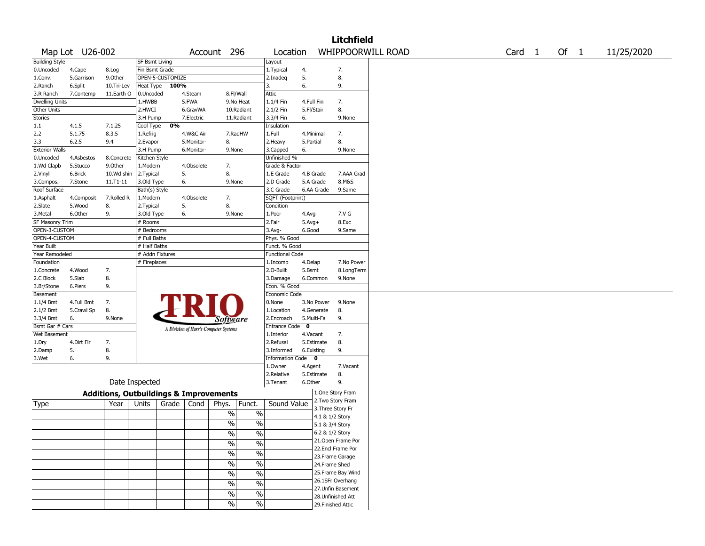|                       |                 |                                                   |                 |                  |            |                                       |                          |                        |              |                   | <b>Litchfield</b>  |  |        |      |            |
|-----------------------|-----------------|---------------------------------------------------|-----------------|------------------|------------|---------------------------------------|--------------------------|------------------------|--------------|-------------------|--------------------|--|--------|------|------------|
|                       | Map Lot U26-002 |                                                   |                 |                  | Account    | 296                                   |                          | Location               |              |                   | WHIPPOORWILL ROAD  |  | Card 1 | Of 1 | 11/25/2020 |
| <b>Building Style</b> |                 |                                                   | SF Bsmt Living  |                  |            |                                       |                          | Layout                 |              |                   |                    |  |        |      |            |
| 0.Uncoded             | 4.Cape          | 8.Log                                             | Fin Bsmt Grade  |                  |            |                                       |                          | 1. Typical             | 4.           |                   | 7.                 |  |        |      |            |
| 1.Conv.               | 5.Garrison      | 9.Other                                           |                 | OPEN-5-CUSTOMIZE |            |                                       |                          | 2.Inadeq               | 5.           |                   | 8.                 |  |        |      |            |
| 2.Ranch               | 6.Split         | 10.Tri-Lev                                        | Heat Type       | 100%             |            |                                       |                          | 3.                     | 6.           |                   | 9.                 |  |        |      |            |
| 3.R Ranch             | 7.Contemp       | 11.Earth O                                        | 0.Uncoded       |                  | 4.Steam    | 8.Fl/Wall                             |                          | Attic                  |              |                   |                    |  |        |      |            |
| Dwelling Units        |                 |                                                   | 1.HWBB          |                  | 5.FWA      |                                       | 9.No Heat                | 1.1/4 Fin              | 4.Full Fin   |                   | 7.                 |  |        |      |            |
| Other Units           |                 |                                                   | 2.HWCI          |                  | 6.GravWA   |                                       | 10.Radiant               | 2.1/2 Fin              | 5.Fl/Stair   |                   | 8.                 |  |        |      |            |
| <b>Stories</b>        |                 |                                                   | 3.H Pump        |                  | 7.Electric |                                       | 11.Radiant               | 3.3/4 Fin              | 6.           |                   | 9.None             |  |        |      |            |
| 1.1                   | 4.1.5           | 7.1.25                                            | Cool Type       | 0%               |            |                                       |                          | Insulation             |              |                   |                    |  |        |      |            |
| 2.2                   | 5.1.75          | 8.3.5                                             | 1.Refrig        |                  | 4.W&C Air  |                                       | 7.RadHW                  | 1.Full                 | 4.Minimal    |                   | 7.                 |  |        |      |            |
| 3.3                   | 6.2.5           | 9.4                                               | 2.Evapor        |                  | 5.Monitor- | 8.                                    |                          | 2.Heavy                | 5.Partial    |                   | 8.                 |  |        |      |            |
| <b>Exterior Walls</b> |                 |                                                   | 3.H Pump        |                  | 6.Monitor- | 9.None                                |                          | 3.Capped               | 6.           |                   | 9.None             |  |        |      |            |
| 0.Uncoded             | 4.Asbestos      | 8.Concrete                                        | Kitchen Style   |                  |            |                                       |                          | Unfinished %           |              |                   |                    |  |        |      |            |
| 1.Wd Clapb            | 5.Stucco        | 9.Other                                           | 1.Modern        |                  | 4.Obsolete | 7.                                    |                          | Grade & Factor         |              |                   |                    |  |        |      |            |
| 2.Vinyl               | 6.Brick         | 10.Wd shin                                        | 2.Typical       |                  | 5.         | 8.                                    |                          | 1.E Grade              | 4.B Grade    |                   | 7.AAA Grad         |  |        |      |            |
| 3.Compos.             | 7.Stone         | 11.T1-11                                          | 3.Old Type      |                  | 6.         | 9.None                                |                          | 2.D Grade              | 5.A Grade    |                   | 8.M&S              |  |        |      |            |
| Roof Surface          |                 |                                                   | Bath(s) Style   |                  |            |                                       |                          | 3.C Grade              |              | 6.AA Grade        | 9.Same             |  |        |      |            |
| 1.Asphalt             | 4.Composit      | 7.Rolled R                                        | 1.Modern        |                  | 4.Obsolete | 7.                                    |                          | SQFT (Footprint)       |              |                   |                    |  |        |      |            |
| 2.Slate               | 5.Wood          | 8.                                                | 2. Typical      |                  | 5.         | 8.                                    |                          | Condition              |              |                   |                    |  |        |      |            |
| 3.Metal               | 6.Other         | 9.                                                | 3.Old Type      |                  | 6.         | 9.None                                |                          | 1.Poor                 | 4.Avg        |                   | 7.V G              |  |        |      |            |
| SF Masonry Trim       |                 |                                                   | # Rooms         |                  |            |                                       |                          | 2.Fair                 | $5.Avg+$     |                   | 8.Exc              |  |        |      |            |
| OPEN-3-CUSTOM         |                 |                                                   | # Bedrooms      |                  |            |                                       |                          | 3.Avg-                 | 6.Good       |                   | 9.Same             |  |        |      |            |
| OPEN-4-CUSTOM         |                 |                                                   | # Full Baths    |                  |            |                                       |                          | Phys. % Good           |              |                   |                    |  |        |      |            |
| Year Built            |                 |                                                   | # Half Baths    |                  |            |                                       |                          | Funct. % Good          |              |                   |                    |  |        |      |            |
| Year Remodeled        |                 |                                                   | # Addn Fixtures |                  |            |                                       |                          | <b>Functional Code</b> |              |                   |                    |  |        |      |            |
| Foundation            |                 |                                                   | # Fireplaces    |                  |            |                                       |                          | 1.Incomp               | 4.Delap      |                   | 7.No Power         |  |        |      |            |
| 1.Concrete            | 4.Wood          | 7.                                                |                 |                  |            |                                       |                          | 2.O-Built              | 5.Bsmt       |                   | 8.LongTerm         |  |        |      |            |
| 2.C Block             | 5.Slab          | 8.                                                |                 |                  |            |                                       |                          | 3.Damage               | 6.Common     |                   | 9.None             |  |        |      |            |
| 3.Br/Stone            | 6.Piers         | 9.                                                |                 |                  |            |                                       |                          | Econ. % Good           |              |                   |                    |  |        |      |            |
| Basement              |                 |                                                   |                 |                  |            |                                       |                          | Economic Code          |              |                   |                    |  |        |      |            |
| 1.1/4 Bmt             | 4.Full Bmt      | 7.                                                |                 |                  |            |                                       |                          | 0.None                 |              | 3.No Power        | 9.None             |  |        |      |            |
| 2.1/2 Bmt             | 5.Crawl Sp      | 8.                                                |                 |                  |            |                                       |                          | 1.Location             |              | 4.Generate        | 8.                 |  |        |      |            |
| 3.3/4 Bmt             | 6.              | 9.None                                            |                 |                  |            | Software                              |                          | 2.Encroach             | 5.Multi-Fa   |                   | 9.                 |  |        |      |            |
| Bsmt Gar # Cars       |                 |                                                   |                 |                  |            | A Division of Harris Computer Systems |                          | Entrance Code          | $\mathbf{0}$ |                   |                    |  |        |      |            |
| Wet Basement          |                 |                                                   |                 |                  |            |                                       |                          | 1.Interior             | 4.Vacant     |                   | 7.                 |  |        |      |            |
| 1.Dry                 | 4.Dirt Flr      | 7.                                                |                 |                  |            |                                       |                          | 2.Refusal              | 5.Estimate   |                   | 8.                 |  |        |      |            |
| 2.Damp                | 5.              | 8.                                                |                 |                  |            |                                       |                          | 3.Informed             | 6.Existing   |                   | 9.                 |  |        |      |            |
| 3.Wet                 | 6.              | 9.                                                |                 |                  |            |                                       |                          | Information Code 0     |              |                   |                    |  |        |      |            |
|                       |                 |                                                   |                 |                  |            |                                       |                          | 1.Owner                | 4.Agent      |                   | 7.Vacant           |  |        |      |            |
|                       |                 |                                                   |                 |                  |            |                                       |                          | 2.Relative             | 5.Estimate   |                   | 8.                 |  |        |      |            |
|                       |                 |                                                   | Date Inspected  |                  |            |                                       |                          | 3.Tenant               | 6.Other      |                   | 9.                 |  |        |      |            |
|                       |                 | <b>Additions, Outbuildings &amp; Improvements</b> |                 |                  |            |                                       |                          |                        |              |                   | 1.One Story Fram   |  |        |      |            |
|                       |                 | Year                                              | Units           | Grade            | Cond       |                                       | Funct.                   | Sound Value            |              |                   | 2. Two Story Fram  |  |        |      |            |
| Type                  |                 |                                                   |                 |                  |            | Phys.                                 |                          |                        |              | 3. Three Story Fr |                    |  |        |      |            |
|                       |                 |                                                   |                 |                  |            | $\%$                                  | $\%$                     |                        |              | 4.1 & 1/2 Story   |                    |  |        |      |            |
|                       |                 |                                                   |                 |                  |            | $\%$                                  | $\%$                     |                        |              | 5.1 & 3/4 Story   |                    |  |        |      |            |
|                       |                 |                                                   |                 |                  |            | $\%$                                  | $\%$                     |                        |              | 6.2 & 1/2 Story   |                    |  |        |      |            |
|                       |                 |                                                   |                 |                  |            |                                       |                          |                        |              |                   | 21.Open Frame Por  |  |        |      |            |
|                       |                 |                                                   |                 |                  |            | $\sqrt{2}$                            | $\%$                     |                        |              |                   | 22.Encl Frame Por  |  |        |      |            |
|                       |                 |                                                   |                 |                  |            | $\sqrt{6}$                            | $\%$                     |                        |              |                   | 23. Frame Garage   |  |        |      |            |
|                       |                 |                                                   |                 |                  |            | $\sqrt{6}$                            | $\overline{\frac{0}{0}}$ |                        |              | 24.Frame Shed     |                    |  |        |      |            |
|                       |                 |                                                   |                 |                  |            | $\sqrt{2}$                            | $\overline{\frac{0}{6}}$ |                        |              |                   | 25. Frame Bay Wind |  |        |      |            |
|                       |                 |                                                   |                 |                  |            |                                       |                          |                        |              |                   | 26.1SFr Overhang   |  |        |      |            |
|                       |                 |                                                   |                 |                  |            | $\sqrt{6}$                            | $\%$                     |                        |              |                   | 27.Unfin Basement  |  |        |      |            |
|                       |                 |                                                   |                 |                  |            | $\sqrt{6}$                            | $\%$                     |                        |              |                   | 28. Unfinished Att |  |        |      |            |
|                       |                 |                                                   |                 |                  |            | $\sqrt{6}$                            | $\%$                     |                        |              |                   | 29. Finished Attic |  |        |      |            |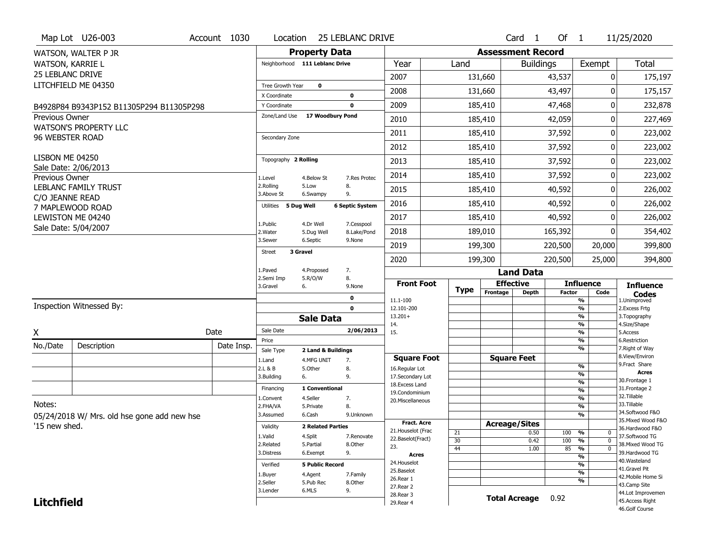|                         | Map Lot U26-003                             | Account 1030 | Location                       |                                  | <b>25 LEBLANC DRIVE</b> |                                  |             |                          | Card <sub>1</sub>    | Of $1$        |                                                      | 11/25/2020                           |
|-------------------------|---------------------------------------------|--------------|--------------------------------|----------------------------------|-------------------------|----------------------------------|-------------|--------------------------|----------------------|---------------|------------------------------------------------------|--------------------------------------|
|                         | WATSON, WALTER P JR                         |              |                                | <b>Property Data</b>             |                         |                                  |             | <b>Assessment Record</b> |                      |               |                                                      |                                      |
| WATSON, KARRIE L        |                                             |              | Neighborhood 111 Leblanc Drive |                                  |                         | Year                             | Land        |                          | <b>Buildings</b>     |               | Exempt                                               | <b>Total</b>                         |
| <b>25 LEBLANC DRIVE</b> |                                             |              |                                |                                  |                         | 2007                             |             | 131,660                  |                      | 43,537        | 0                                                    | 175,197                              |
|                         | LITCHFIELD ME 04350                         |              | Tree Growth Year               | $\mathbf 0$                      |                         | 2008                             |             | 131,660                  |                      | 43,497        | 0                                                    | 175,157                              |
|                         |                                             |              | X Coordinate                   |                                  | $\mathbf 0$             |                                  |             |                          |                      |               |                                                      |                                      |
|                         | B4928P84 B9343P152 B11305P294 B11305P298    |              | Y Coordinate<br>Zone/Land Use  | 17 Woodbury Pond                 | $\mathbf 0$             | 2009                             |             | 185,410                  |                      | 47,468        | 0                                                    | 232,878                              |
| <b>Previous Owner</b>   | <b>WATSON'S PROPERTY LLC</b>                |              |                                |                                  |                         | 2010                             |             | 185,410                  |                      | 42,059        | 0                                                    | 227,469                              |
| 96 WEBSTER ROAD         |                                             |              | Secondary Zone                 |                                  |                         | 2011                             |             | 185,410                  |                      | 37,592        | 0                                                    | 223,002                              |
|                         |                                             |              |                                |                                  |                         | 2012                             |             | 185,410                  |                      | 37,592        | 0                                                    | 223,002                              |
| LISBON ME 04250         |                                             |              | Topography 2 Rolling           |                                  |                         | 2013                             |             | 185,410                  |                      | 37,592        | 0                                                    | 223,002                              |
| Previous Owner          | Sale Date: 2/06/2013                        |              | 1.Level                        | 4.Below St                       | 7.Res Protec            | 2014                             |             | 185,410                  |                      | 37,592        | 0                                                    | 223,002                              |
|                         | <b>LEBLANC FAMILY TRUST</b>                 |              | 2.Rolling<br>3.Above St        | 5.Low<br>6.Swampy                | 8.<br>9.                | 2015                             |             | 185,410                  |                      | 40,592        | 0                                                    | 226,002                              |
| C/O JEANNE READ         | 7 MAPLEWOOD ROAD                            |              | 5 Dug Well<br>Utilities        |                                  | <b>6 Septic System</b>  | 2016                             |             | 185,410                  |                      | 40,592        | 0                                                    | 226,002                              |
|                         | LEWISTON ME 04240                           |              | 1.Public                       | 4.Dr Well                        | 7.Cesspool              | 2017                             |             | 185,410                  |                      | 40,592        | 0                                                    | 226,002                              |
|                         | Sale Date: 5/04/2007                        |              | 2. Water                       | 5.Dug Well                       | 8.Lake/Pond             | 2018                             |             | 189,010                  |                      | 165,392       | 0                                                    | 354,402                              |
|                         |                                             |              | 3.Sewer                        | 6.Septic                         | 9.None                  | 2019                             |             | 199,300                  |                      | 220,500       | 20,000                                               | 399,800                              |
|                         |                                             |              | <b>Street</b><br>3 Gravel      |                                  |                         | 2020                             |             | 199,300                  |                      | 220,500       | 25,000                                               | 394,800                              |
|                         |                                             |              | 1.Paved                        | 4.Proposed                       | 7.                      |                                  |             |                          | <b>Land Data</b>     |               |                                                      |                                      |
|                         |                                             |              | 2.Semi Imp<br>3.Gravel         | 5.R/O/W<br>6.                    | 8.<br>9.None            | <b>Front Foot</b>                |             |                          | <b>Effective</b>     |               | <b>Influence</b>                                     | <b>Influence</b>                     |
|                         |                                             |              |                                |                                  | 0                       | 11.1-100                         | <b>Type</b> | Frontage                 | Depth                | <b>Factor</b> | Code<br>%                                            | <b>Codes</b><br>1.Unimproved         |
|                         | <b>Inspection Witnessed By:</b>             |              |                                |                                  | $\mathbf 0$             | 12.101-200                       |             |                          |                      |               | $\overline{\frac{9}{6}}$                             | 2. Excess Frtg                       |
|                         |                                             |              |                                | <b>Sale Data</b>                 |                         | $13.201+$<br>14.                 |             |                          |                      |               | $\overline{\frac{9}{6}}$<br>$\overline{\frac{9}{6}}$ | 3. Topography<br>4.Size/Shape        |
| X                       |                                             | Date         | Sale Date                      |                                  | 2/06/2013               | 15.                              |             |                          |                      |               | $\overline{\frac{9}{6}}$                             | 5.Access                             |
| No./Date                | Description                                 | Date Insp.   | Price                          |                                  |                         |                                  |             |                          |                      |               | %<br>$\overline{\frac{9}{6}}$                        | 6.Restriction<br>7. Right of Way     |
|                         |                                             |              | Sale Type<br>1.Land            | 2 Land & Buildings<br>4.MFG UNIT | 7.                      | <b>Square Foot</b>               |             |                          | <b>Square Feet</b>   |               |                                                      | 8.View/Environ                       |
|                         |                                             |              | 2.L & B                        | 5.Other                          | 8.                      | 16.Regular Lot                   |             |                          |                      |               | %                                                    | 9. Fract Share<br><b>Acres</b>       |
|                         |                                             |              | 3.Building                     | 6.                               | 9.                      | 17.Secondary Lot                 |             |                          |                      |               | %<br>%                                               | 30. Frontage 1                       |
|                         |                                             |              | Financing                      | 1 Conventional                   |                         | 18.Excess Land<br>19.Condominium |             |                          |                      |               | $\overline{\frac{9}{6}}$                             | 31. Frontage 2                       |
| Notes:                  |                                             |              | 1.Convent                      | 4.Seller                         | 7.                      | 20.Miscellaneous                 |             |                          |                      |               | $\overline{\frac{9}{6}}$                             | 32.Tillable<br>33.Tillable           |
|                         |                                             |              | 2.FHA/VA                       | 5.Private                        | 8.                      |                                  |             |                          |                      |               | %                                                    | 34.Softwood F&O                      |
|                         | 05/24/2018 W/ Mrs. old hse gone add new hse |              | 3.Assumed                      | 6.Cash                           | 9.Unknown               | <b>Fract. Acre</b>               |             |                          |                      |               | %                                                    | 35. Mixed Wood F&O                   |
| '15 new shed.           |                                             |              | Validity                       | <b>2 Related Parties</b>         |                         | 21. Houselot (Frac               | 21          | <b>Acreage/Sites</b>     | 0.50                 | 100           | %<br>0                                               | 36.Hardwood F&O                      |
|                         |                                             |              | 1.Valid                        | 4.Split                          | 7.Renovate              | 22.Baselot(Fract)                | 30          |                          | 0.42                 | 100           | $\overline{0}$<br>%                                  | 37.Softwood TG                       |
|                         |                                             |              | 2.Related                      | 5.Partial                        | 8.Other<br>9.           | 23.                              | 44          |                          | 1.00                 | 85            | $\frac{9}{6}$<br>$\overline{0}$                      | 38. Mixed Wood TG<br>39.Hardwood TG  |
|                         |                                             |              | 3.Distress                     | 6.Exempt                         |                         | Acres<br>24. Houselot            |             |                          |                      |               | %                                                    | 40.Wasteland                         |
|                         |                                             |              |                                |                                  |                         |                                  |             |                          |                      |               | %                                                    |                                      |
|                         |                                             |              | Verified                       | <b>5 Public Record</b>           |                         |                                  |             |                          |                      |               |                                                      | 41.Gravel Pit                        |
|                         |                                             |              | 1.Buyer                        | 4.Agent                          | 7.Family                | 25.Baselot<br>26.Rear 1          |             |                          |                      |               | $\overline{\frac{9}{6}}$                             | 42. Mobile Home Si                   |
|                         |                                             |              | 2.Seller                       | 5.Pub Rec                        | 8.Other                 | 27. Rear 2                       |             |                          |                      |               | %                                                    | 43.Camp Site                         |
| <b>Litchfield</b>       |                                             |              | 3.Lender                       | 6.MLS                            | 9.                      | 28. Rear 3<br>29. Rear 4         |             |                          | <b>Total Acreage</b> | 0.92          |                                                      | 44.Lot Improvemen<br>45.Access Right |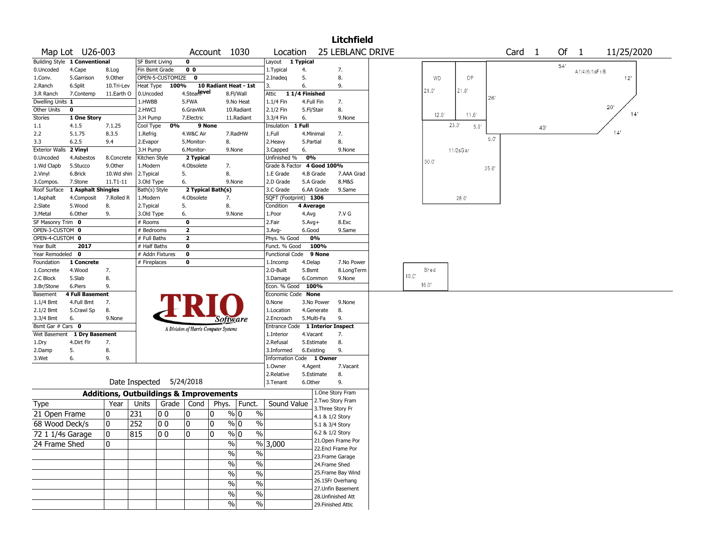|                        |                                                                                                                                                                                                                                                                                                       |                                                   |                |                          |                         |                                       |                         |                                  |               |                    | Litchfield |  |      |                |                        |       |     |  |            |  |
|------------------------|-------------------------------------------------------------------------------------------------------------------------------------------------------------------------------------------------------------------------------------------------------------------------------------------------------|---------------------------------------------------|----------------|--------------------------|-------------------------|---------------------------------------|-------------------------|----------------------------------|---------------|--------------------|------------|--|------|----------------|------------------------|-------|-----|--|------------|--|
|                        | 25 LEBLANC DRIVE<br>Card <sub>1</sub><br>Of<br>Map Lot U26-003<br>Account 1030<br>Location<br>$\overline{1}$<br>11/25/2020<br>Building Style 1 Conventional<br><b>SF Bsmt Living</b><br>$\mathbf 0$<br>1 Typical<br>Layout<br>54'<br>$\overline{0}0$<br>Fin Bsmt Grade<br>4.<br>7.<br>A1/4 (f)/1sFr/B |                                                   |                |                          |                         |                                       |                         |                                  |               |                    |            |  |      |                |                        |       |     |  |            |  |
|                        |                                                                                                                                                                                                                                                                                                       |                                                   |                |                          |                         |                                       |                         |                                  |               |                    |            |  |      |                |                        |       |     |  |            |  |
| 0.Uncoded              | 4.Cape                                                                                                                                                                                                                                                                                                | 8.Log                                             |                |                          |                         |                                       |                         | 1. Typical                       |               |                    |            |  |      |                |                        |       |     |  |            |  |
| 1.Conv.                | 5.Garrison                                                                                                                                                                                                                                                                                            | 9.Other                                           |                | OPEN-5-CUSTOMIZE         | $\mathbf 0$             |                                       |                         | 2.Inadeg                         | 5.            | 8.                 |            |  |      | <b>WD</b>      | OP                     |       |     |  | 12'        |  |
| 2.Ranch                | 6.Split                                                                                                                                                                                                                                                                                               | 10.Tri-Lev                                        | Heat Type      | 100%                     |                         | 10 Radiant Heat - 1st                 |                         | 3.                               | 6.            | 9.                 |            |  |      |                |                        |       |     |  |            |  |
| 3.R Ranch              | 7.Contemp                                                                                                                                                                                                                                                                                             | 11.Earth O                                        | 0.Uncoded      |                          | 4.Stearlevel            |                                       | 8.Fl/Wall               | Attic                            | 11/4 Finished |                    |            |  |      | 21.0"          | 21.0'                  | 26'   |     |  |            |  |
| Dwelling Units 1       |                                                                                                                                                                                                                                                                                                       |                                                   | 1.HWBB         |                          | 5.FWA                   |                                       | 9.No Heat               | 1.1/4 Fin                        | 4.Full Fin    | 7.                 |            |  |      |                |                        |       |     |  |            |  |
| Other Units            | $\mathbf 0$                                                                                                                                                                                                                                                                                           |                                                   | 2.HWCI         |                          | 6.GravWA                |                                       | 10.Radiant              | 2.1/2 Fin                        | 5.Fl/Stair    | 8.                 |            |  |      | $12.0^{\circ}$ | 11.0'                  |       |     |  | 20'<br>14' |  |
| <b>Stories</b>         | 1 One Story                                                                                                                                                                                                                                                                                           |                                                   | 3.H Pump       |                          | 7.Electric              |                                       | 11.Radiant              | 3.3/4 Fin                        | 6.            |                    | 9.None     |  |      |                |                        |       |     |  |            |  |
| 1.1                    | 4.1.5                                                                                                                                                                                                                                                                                                 | 7.1.25                                            | Cool Type      | 0%                       |                         | 9 None                                |                         | Insulation                       | 1 Full        |                    |            |  |      |                | 23.0'<br>$5.0^{\circ}$ |       | 40' |  |            |  |
| 2.2                    | 5.1.75                                                                                                                                                                                                                                                                                                | 8.3.5                                             | 1.Refrig       |                          | 4.W&C Air               |                                       | 7.RadHW                 | 1.Full                           | 4.Minimal     | 7.                 |            |  |      |                |                        | 5.0"  |     |  | 14'        |  |
| 3.3                    | 6.2.5                                                                                                                                                                                                                                                                                                 | 9.4                                               | 2.Evapor       |                          | 5.Monitor-              | 8.                                    |                         | 2.Heavy                          | 5.Partial     | 8.                 |            |  |      |                |                        |       |     |  |            |  |
| Exterior Walls 2 Vinyl |                                                                                                                                                                                                                                                                                                       |                                                   | 3.H Pump       |                          | 6.Monitor-              |                                       | 9.None                  | 3.Capped                         | 6.            |                    | 9.None     |  |      |                | 11/2sGar               |       |     |  |            |  |
| 0.Uncoded              | 4.Asbestos                                                                                                                                                                                                                                                                                            | 8.Concrete                                        | Kitchen Style  |                          | 2 Typical               |                                       |                         | Unfinished %                     | 0%            |                    |            |  |      | 30.0'          |                        |       |     |  |            |  |
| 1.Wd Clapb             | 5.Stucco                                                                                                                                                                                                                                                                                              | 9.0ther                                           | 1.Modern       |                          | 4.Obsolete              | 7.                                    |                         | Grade & Factor                   |               | 4 Good 100%        |            |  |      |                |                        | 25.0" |     |  |            |  |
| 2.Vinyl                | 6.Brick                                                                                                                                                                                                                                                                                               | 10.Wd shin                                        | 2.Typical      |                          | 5.                      | 8.                                    |                         | 1.E Grade                        | 4.B Grade     |                    | 7.AAA Grad |  |      |                |                        |       |     |  |            |  |
| 3.Compos.              | 7.Stone                                                                                                                                                                                                                                                                                               | 11.T1-11                                          | 3.Old Type     |                          | 6.                      |                                       | 9.None                  | 2.D Grade                        | 5.A Grade     |                    | 8.M&S      |  |      |                |                        |       |     |  |            |  |
| Roof Surface           | 1 Asphalt Shingles                                                                                                                                                                                                                                                                                    |                                                   | Bath(s) Style  |                          |                         | 2 Typical Bath(s)                     |                         | 3.C Grade                        | 6.AA Grade    |                    | 9.Same     |  |      |                |                        |       |     |  |            |  |
| 1.Asphalt              | 4.Composit                                                                                                                                                                                                                                                                                            | 7.Rolled R                                        | 1.Modern       |                          | 4.Obsolete              | 7.                                    |                         | SQFT (Footprint) 1306            |               |                    |            |  |      |                | $28.0^\circ$           |       |     |  |            |  |
| 2.Slate                | 5.Wood                                                                                                                                                                                                                                                                                                | 8.                                                | 2. Typical     |                          | 5.                      | 8.                                    |                         | Condition                        | 4 Average     |                    |            |  |      |                |                        |       |     |  |            |  |
| 3.Metal                | 6.Other                                                                                                                                                                                                                                                                                               | 9.                                                | 3.Old Type     |                          | 6.                      |                                       | 9.None                  | 1.Poor                           | 4.Avg         |                    | 7.V G      |  |      |                |                        |       |     |  |            |  |
| SF Masonry Trim 0      |                                                                                                                                                                                                                                                                                                       |                                                   | # Rooms        |                          | $\mathbf 0$             |                                       |                         | 2.Fair                           | $5.Avg+$      |                    | 8.Exc      |  |      |                |                        |       |     |  |            |  |
| OPEN-3-CUSTOM 0        |                                                                                                                                                                                                                                                                                                       |                                                   | # Bedrooms     |                          | $\overline{\mathbf{2}}$ |                                       |                         | 3.Avg-                           | 6.Good        |                    | 9.Same     |  |      |                |                        |       |     |  |            |  |
| OPEN-4-CUSTOM 0        |                                                                                                                                                                                                                                                                                                       |                                                   | # Full Baths   |                          | $\overline{\mathbf{2}}$ |                                       |                         | Phys. % Good                     | 0%            |                    |            |  |      |                |                        |       |     |  |            |  |
| Year Built             | 2017                                                                                                                                                                                                                                                                                                  |                                                   | $#$ Half Baths |                          | $\mathbf 0$             |                                       |                         | Funct. % Good                    | 100%          |                    |            |  |      |                |                        |       |     |  |            |  |
| Year Remodeled         | $\mathbf 0$                                                                                                                                                                                                                                                                                           |                                                   |                | # Addn Fixtures          | $\mathbf 0$             |                                       |                         | <b>Functional Code</b>           |               | 9 None             |            |  |      |                |                        |       |     |  |            |  |
| Foundation             | 1 Concrete                                                                                                                                                                                                                                                                                            |                                                   | # Fireplaces   |                          | 0                       |                                       |                         | 1.Incomp                         | 4.Delap       |                    | 7.No Power |  |      |                |                        |       |     |  |            |  |
| 1.Concrete             | 4.Wood                                                                                                                                                                                                                                                                                                | 7.                                                |                |                          |                         |                                       |                         | 2.0-Built                        | 5.Bsmt        |                    | 8.LongTerm |  |      | Shed           |                        |       |     |  |            |  |
| 2.C Block              | 5.Slab                                                                                                                                                                                                                                                                                                | 8.                                                |                |                          |                         |                                       |                         | 3.Damage                         | 6.Common      |                    | 9.None     |  | 10.C |                |                        |       |     |  |            |  |
| 3.Br/Stone             | 6.Piers                                                                                                                                                                                                                                                                                               | 9.                                                |                |                          |                         |                                       |                         | Econ. % Good                     | 100%          |                    |            |  |      | $16.0^{\circ}$ |                        |       |     |  |            |  |
| Basement               | <b>4 Full Basement</b>                                                                                                                                                                                                                                                                                |                                                   |                |                          |                         |                                       |                         | Economic Code None               |               |                    |            |  |      |                |                        |       |     |  |            |  |
| $1.1/4$ Bmt            | 4.Full Bmt                                                                                                                                                                                                                                                                                            | 7.                                                |                |                          |                         |                                       |                         | 0.None                           | 3.No Power    |                    | 9.None     |  |      |                |                        |       |     |  |            |  |
| 2.1/2 Bmt              | 5.Crawl Sp                                                                                                                                                                                                                                                                                            | 8.                                                |                |                          |                         |                                       |                         | 1.Location                       | 4.Generate    | 8.                 |            |  |      |                |                        |       |     |  |            |  |
| 3.3/4 Bmt              | 6.                                                                                                                                                                                                                                                                                                    | 9.None                                            |                |                          |                         | Software                              |                         | 2.Encroach                       | 5.Multi-Fa    | 9.                 |            |  |      |                |                        |       |     |  |            |  |
| Bsmt Gar # Cars 0      |                                                                                                                                                                                                                                                                                                       |                                                   |                |                          |                         | A Division of Harris Computer Systems |                         | Entrance Code 1 Interior Inspect |               |                    |            |  |      |                |                        |       |     |  |            |  |
| Wet Basement           | 1 Dry Basement                                                                                                                                                                                                                                                                                        |                                                   |                |                          |                         |                                       |                         | 1.Interior                       | 4.Vacant      | 7.                 |            |  |      |                |                        |       |     |  |            |  |
| 1.Dry                  | 4.Dirt Flr                                                                                                                                                                                                                                                                                            | 7.                                                |                |                          |                         |                                       |                         | 2.Refusal                        | 5.Estimate    | 8.                 |            |  |      |                |                        |       |     |  |            |  |
| 2.Damp                 | 5.                                                                                                                                                                                                                                                                                                    | 8.                                                |                |                          |                         |                                       |                         | 3.Informed                       | 6.Existing    | 9.                 |            |  |      |                |                        |       |     |  |            |  |
| 3.Wet                  | 6.                                                                                                                                                                                                                                                                                                    | 9.                                                |                |                          |                         |                                       |                         | Information Code 1 Owner         |               |                    |            |  |      |                |                        |       |     |  |            |  |
|                        |                                                                                                                                                                                                                                                                                                       |                                                   |                |                          |                         |                                       |                         | 1.Owner                          | 4.Agent       |                    | 7.Vacant   |  |      |                |                        |       |     |  |            |  |
|                        |                                                                                                                                                                                                                                                                                                       |                                                   |                |                          |                         |                                       |                         | 2.Relative                       | 5.Estimate    | 8.                 |            |  |      |                |                        |       |     |  |            |  |
|                        |                                                                                                                                                                                                                                                                                                       |                                                   |                | Date Inspected 5/24/2018 |                         |                                       |                         | 3.Tenant                         | 6.Other       | 9.                 |            |  |      |                |                        |       |     |  |            |  |
|                        |                                                                                                                                                                                                                                                                                                       | <b>Additions, Outbuildings &amp; Improvements</b> |                |                          |                         |                                       |                         |                                  |               | 1.One Story Fram   |            |  |      |                |                        |       |     |  |            |  |
| Type                   |                                                                                                                                                                                                                                                                                                       | Year                                              | Units          | Grade   Cond             |                         | Phys.                                 | Funct.                  | Sound Value                      |               | 2. Two Story Fram  |            |  |      |                |                        |       |     |  |            |  |
| 21 Open Frame          |                                                                                                                                                                                                                                                                                                       | 0                                                 | 231            | O O                      | 10                      | 0                                     | $\%$<br>% 0             |                                  |               | 3. Three Story Fr  |            |  |      |                |                        |       |     |  |            |  |
|                        |                                                                                                                                                                                                                                                                                                       |                                                   |                |                          |                         |                                       |                         |                                  |               | 4.1 & 1/2 Story    |            |  |      |                |                        |       |     |  |            |  |
| 68 Wood Deck/s         |                                                                                                                                                                                                                                                                                                       | 0                                                 | 252            | 00                       | 10                      | 0                                     | $\frac{9}{6}$ 0<br>$\%$ |                                  |               | 5.1 & 3/4 Story    |            |  |      |                |                        |       |     |  |            |  |
| 72 1 1/4s Garage       |                                                                                                                                                                                                                                                                                                       | 0                                                 | 815            | 00                       | ١o                      | 10                                    | $\frac{0}{0}$<br>% 0    |                                  |               | 6.2 & 1/2 Story    |            |  |      |                |                        |       |     |  |            |  |
| 24 Frame Shed          |                                                                                                                                                                                                                                                                                                       | 0                                                 |                |                          |                         | %                                     |                         | %3,000                           |               | 21. Open Frame Por |            |  |      |                |                        |       |     |  |            |  |
|                        |                                                                                                                                                                                                                                                                                                       |                                                   |                |                          |                         | $\%$                                  | $\%$                    |                                  |               | 22.Encl Frame Por  |            |  |      |                |                        |       |     |  |            |  |
|                        |                                                                                                                                                                                                                                                                                                       |                                                   |                |                          |                         |                                       |                         |                                  |               | 23. Frame Garage   |            |  |      |                |                        |       |     |  |            |  |
|                        |                                                                                                                                                                                                                                                                                                       |                                                   |                |                          |                         | $\sqrt{6}$                            | $\%$                    |                                  |               | 24.Frame Shed      |            |  |      |                |                        |       |     |  |            |  |
|                        |                                                                                                                                                                                                                                                                                                       |                                                   |                |                          |                         | $\%$                                  | $\%$                    |                                  |               | 25. Frame Bay Wind |            |  |      |                |                        |       |     |  |            |  |
|                        |                                                                                                                                                                                                                                                                                                       |                                                   |                |                          |                         | $\sqrt{6}$                            | $\%$                    |                                  |               | 26.1SFr Overhang   |            |  |      |                |                        |       |     |  |            |  |
|                        |                                                                                                                                                                                                                                                                                                       |                                                   |                |                          |                         | $\%$                                  | $\%$                    |                                  |               | 27.Unfin Basement  |            |  |      |                |                        |       |     |  |            |  |
|                        |                                                                                                                                                                                                                                                                                                       |                                                   |                |                          |                         |                                       |                         |                                  |               | 28. Unfinished Att |            |  |      |                |                        |       |     |  |            |  |
|                        |                                                                                                                                                                                                                                                                                                       |                                                   |                |                          |                         | $\frac{0}{0}$                         | $\%$                    |                                  |               | 29. Finished Attic |            |  |      |                |                        |       |     |  |            |  |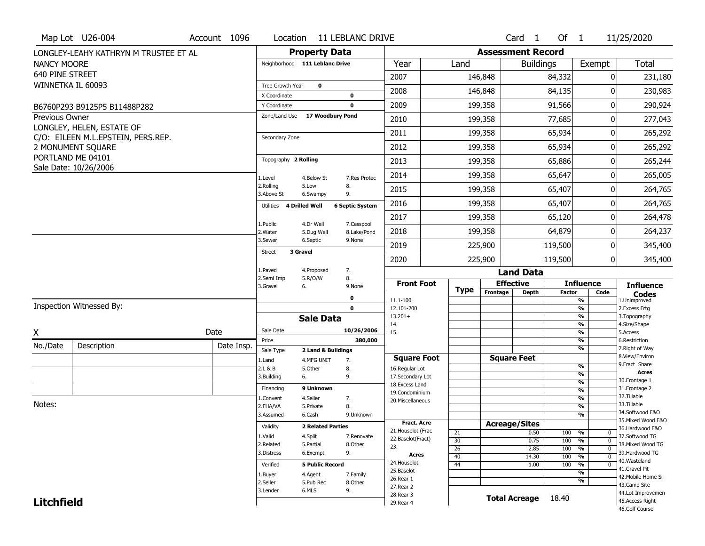|                       | Map Lot U26-004                       | Account 1096 | Location                     | 11 LEBLANC DRIVE                                |                          |                                   |                 |          | Card <sub>1</sub>        | Of $1$        |                                        | 11/25/2020                           |
|-----------------------|---------------------------------------|--------------|------------------------------|-------------------------------------------------|--------------------------|-----------------------------------|-----------------|----------|--------------------------|---------------|----------------------------------------|--------------------------------------|
|                       | LONGLEY-LEAHY KATHRYN M TRUSTEE ET AL |              |                              | <b>Property Data</b>                            |                          |                                   |                 |          | <b>Assessment Record</b> |               |                                        |                                      |
| <b>NANCY MOORE</b>    |                                       |              |                              | Neighborhood 111 Leblanc Drive                  |                          | Year                              | Land            |          | <b>Buildings</b>         |               | Exempt                                 | <b>Total</b>                         |
| 640 PINE STREET       |                                       |              |                              |                                                 | 2007                     |                                   |                 | 146,848  |                          | 84,332        | 0                                      | 231,180                              |
| WINNETKA IL 60093     |                                       |              | Tree Growth Year             | $\mathbf 0$                                     | 2008                     |                                   |                 | 146,848  |                          | 84,135        | 0                                      | 230,983                              |
|                       |                                       |              | X Coordinate<br>Y Coordinate | $\mathbf 0$<br>$\mathbf{0}$                     | 2009                     |                                   |                 | 199,358  |                          | 91,566        | 0                                      | 290,924                              |
| <b>Previous Owner</b> | B6760P293 B9125P5 B11488P282          |              | Zone/Land Use                | 17 Woodbury Pond                                |                          |                                   |                 |          |                          |               |                                        |                                      |
|                       | LONGLEY, HELEN, ESTATE OF             |              |                              |                                                 | 2010                     |                                   |                 | 199,358  |                          | 77,685        | 0                                      | 277,043                              |
|                       | C/O: EILEEN M.L.EPSTEIN, PERS.REP.    |              | Secondary Zone               |                                                 | 2011                     |                                   |                 | 199,358  |                          | 65,934        | 0                                      | 265,292                              |
|                       | 2 MONUMENT SQUARE                     |              |                              |                                                 | 2012                     |                                   |                 | 199,358  |                          | 65,934        | 0                                      | 265,292                              |
|                       | PORTLAND ME 04101                     |              | Topography 2 Rolling         |                                                 | 2013                     |                                   |                 | 199,358  |                          | 65,886        | 0                                      | 265,244                              |
|                       | Sale Date: 10/26/2006                 |              | 1.Level                      | 4.Below St                                      | 2014<br>7.Res Protec     |                                   |                 | 199,358  |                          | 65,647        | 0                                      | 265,005                              |
|                       |                                       |              | 2.Rolling<br>3.Above St      | 5.Low<br>8.<br>6.Swampy<br>9.                   | 2015                     |                                   |                 | 199,358  |                          | 65,407        | 0                                      | 264,765                              |
|                       |                                       |              | Utilities                    | <b>4 Drilled Well</b><br><b>6 Septic System</b> | 2016                     |                                   |                 | 199,358  |                          | 65,407        | $\mathbf{0}$                           | 264,765                              |
|                       |                                       |              | 1.Public                     | 4.Dr Well                                       | 2017<br>7.Cesspool       |                                   |                 | 199,358  |                          | 65,120        | 0                                      | 264,478                              |
|                       |                                       |              | 2. Water                     | 5.Dug Well                                      | 2018<br>8.Lake/Pond      |                                   |                 | 199,358  |                          | 64,879        | 0                                      | 264,237                              |
|                       |                                       |              | 3.Sewer                      | 6.Septic<br>9.None                              | 2019                     |                                   |                 | 225,900  |                          | 119,500       | 0                                      | 345,400                              |
|                       |                                       |              | 3 Gravel<br><b>Street</b>    |                                                 | 2020                     |                                   |                 | 225,900  |                          | 119,500       | $\mathbf{0}$                           | 345,400                              |
|                       |                                       |              | 1.Paved                      | 4.Proposed<br>7.                                |                          |                                   |                 |          | <b>Land Data</b>         |               |                                        |                                      |
|                       |                                       |              |                              |                                                 |                          |                                   |                 |          |                          |               |                                        |                                      |
|                       |                                       |              | 2.Semi Imp<br>3.Gravel       | 5.R/O/W<br>8.<br>6.<br>9.None                   |                          | <b>Front Foot</b>                 |                 |          | <b>Effective</b>         |               | <b>Influence</b>                       | <b>Influence</b>                     |
|                       |                                       |              |                              | 0                                               |                          |                                   | <b>Type</b>     | Frontage | <b>Depth</b>             | <b>Factor</b> | Code                                   | <b>Codes</b>                         |
|                       | Inspection Witnessed By:              |              |                              | $\mathbf 0$                                     |                          | 11.1-100<br>12.101-200            |                 |          |                          |               | $\frac{9}{6}$<br>$\frac{9}{6}$         | 1.Unimproved<br>2. Excess Frtg       |
|                       |                                       |              |                              | <b>Sale Data</b>                                |                          | $13.201+$                         |                 |          |                          |               | $\frac{9}{6}$<br>$\frac{9}{6}$         | 3. Topography                        |
| χ                     |                                       | Date         | Sale Date                    |                                                 | 14.<br>10/26/2006<br>15. |                                   |                 |          |                          |               | $\frac{9}{6}$                          | 4.Size/Shape<br>5.Access             |
| No./Date              | Description                           | Date Insp.   | Price                        |                                                 | 380,000                  |                                   |                 |          |                          |               | $\frac{9}{6}$                          | 6.Restriction                        |
|                       |                                       |              | Sale Type                    | 2 Land & Buildings                              |                          | <b>Square Foot</b>                |                 |          | <b>Square Feet</b>       |               | $\frac{9}{6}$                          | 7. Right of Way<br>8.View/Environ    |
|                       |                                       |              | 1.Land<br>2.L & B            | 4.MFG UNIT<br>7.<br>5.Other<br>8.               |                          | 16.Regular Lot                    |                 |          |                          |               | $\frac{9}{6}$                          | 9. Fract Share                       |
|                       |                                       |              | 3.Building                   | 9.<br>6.                                        |                          | 17.Secondary Lot                  |                 |          |                          |               | $\frac{9}{6}$<br>$\frac{9}{6}$         | <b>Acres</b><br>30. Frontage 1       |
|                       |                                       |              | Financing                    | 9 Unknown                                       |                          | 18. Excess Land<br>19.Condominium |                 |          |                          |               | $\frac{9}{6}$                          | 31. Frontage 2                       |
|                       |                                       |              | 1.Convent                    | 4.Seller<br>7.                                  |                          | 20. Miscellaneous                 |                 |          |                          |               | $\frac{9}{6}$                          | 32.Tillable                          |
| Notes:                |                                       |              | 2.FHA/VA                     | 5.Private<br>8.                                 |                          |                                   |                 |          |                          |               | $\frac{9}{6}$                          | 33.Tillable<br>34.Softwood F&O       |
|                       |                                       |              | 3.Assumed                    | 6.Cash                                          | 9.Unknown                | <b>Fract. Acre</b>                |                 |          |                          |               | $\frac{9}{6}$                          | 35. Mixed Wood F&O                   |
|                       |                                       |              | Validity                     | <b>2 Related Parties</b>                        |                          | 21. Houselot (Frac                |                 |          | <b>Acreage/Sites</b>     |               |                                        | 36.Hardwood F&O                      |
|                       |                                       |              | 1.Valid                      | 4.Split                                         | 7.Renovate               | 22.Baselot(Fract)                 | 21<br>30        |          | 0.50<br>0.75             | 100<br>100    | %<br>$\mathbf{0}$<br>$\mathbf{0}$<br>% | 37.Softwood TG                       |
|                       |                                       |              | 2.Related                    | 8.Other<br>5.Partial                            | 23.                      |                                   | 26              |          | 2.85                     | 100           | $\frac{9}{6}$<br>$\overline{0}$        | 38. Mixed Wood TG                    |
|                       |                                       |              | 3.Distress                   | 9.<br>6.Exempt                                  |                          | Acres                             | $\overline{40}$ |          | 14.30                    | 100           | $\overline{0}$<br>%                    | 39.Hardwood TG<br>40.Wasteland       |
|                       |                                       |              | Verified                     | <b>5 Public Record</b>                          |                          | 24. Houselot                      | 44              |          | 1.00                     | 100           | %<br>$\mathbf 0$                       | 41.Gravel Pit                        |
|                       |                                       |              | 1.Buyer                      | 4.Agent<br>7.Family                             |                          | 25.Baselot<br>26.Rear 1           |                 |          |                          |               | %                                      | 42. Mobile Home Si                   |
|                       |                                       |              | 2.Seller                     | 5.Pub Rec<br>8.Other                            |                          | 27. Rear 2                        |                 |          |                          |               | %                                      | 43.Camp Site                         |
| <b>Litchfield</b>     |                                       |              | 3.Lender                     | 9.<br>6.MLS                                     |                          | 28. Rear 3<br>29. Rear 4          |                 |          | <b>Total Acreage</b>     | 18.40         |                                        | 44.Lot Improvemen<br>45.Access Right |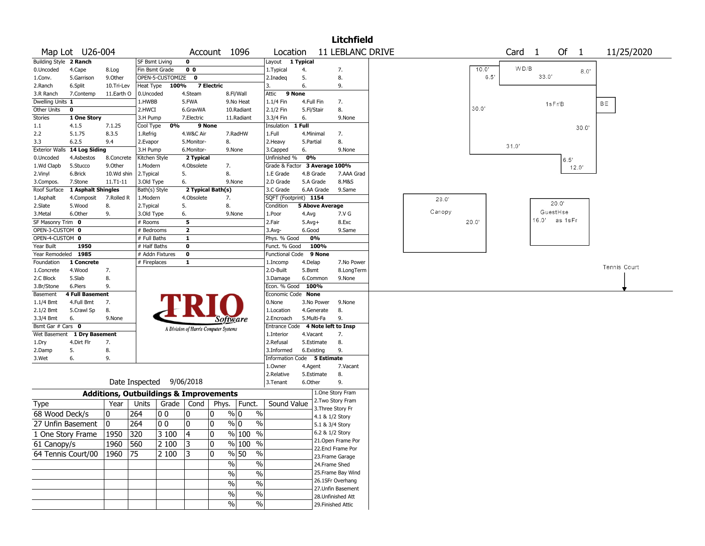|                        |                             |                 |                                                   |                  |                                       |                   |                       |                                   |              |                          | <b>Litchfield</b>                      |        |       |      |                   |       |          |       |              |            |
|------------------------|-----------------------------|-----------------|---------------------------------------------------|------------------|---------------------------------------|-------------------|-----------------------|-----------------------------------|--------------|--------------------------|----------------------------------------|--------|-------|------|-------------------|-------|----------|-------|--------------|------------|
|                        | Map Lot U26-004             |                 |                                                   |                  |                                       |                   | Account 1096          | Location                          |              |                          | <b>11 LEBLANC DRIVE</b>                |        |       |      | Card <sub>1</sub> |       | Of       | 1     |              | 11/25/2020 |
| Building Style 2 Ranch |                             |                 | <b>SF Bsmt Living</b>                             |                  | 0                                     |                   |                       | Layout 1 Typical                  |              |                          |                                        |        |       |      |                   |       |          |       |              |            |
| 0.Uncoded              | 4.Cape                      | 8.Log           | Fin Bsmt Grade                                    |                  | 0 <sub>0</sub>                        |                   |                       | 1. Typical                        | 4.           |                          | 7.                                     |        | 10.0' |      | WD/B              |       |          | 8.0'  |              |            |
| 1.Conv.                | 5.Garrison                  | 9.0ther         |                                                   | OPEN-5-CUSTOMIZE | $\mathbf{o}$                          |                   |                       | 2.Inadeg                          | 5.           |                          | 8.                                     |        |       | 6.5' |                   | 33.0' |          |       |              |            |
| 2.Ranch                | 6.Split                     | 10.Tri-Lev      | Heat Type                                         | 100%             |                                       | <b>7 Electric</b> |                       | 3.                                | 6.           |                          | 9.                                     |        |       |      |                   |       |          |       |              |            |
| 3.R Ranch              | 7.Contemp                   | 11.Earth O      | 0.Uncoded                                         |                  | 4.Steam                               |                   | 8.Fl/Wall             | Attic                             | 9 None       |                          |                                        |        |       |      |                   |       |          |       |              |            |
| Dwelling Units 1       |                             |                 | 1.HWBB                                            |                  | 5.FWA                                 |                   | 9.No Heat             | 1.1/4 Fin                         |              | 4.Full Fin               | 7.                                     |        | 30.0' |      |                   |       | 1sFr/B   |       | BE           |            |
| Other Units            | 0                           |                 | 2.HWCI                                            |                  | 6.GravWA                              |                   | 10.Radiant            | 2.1/2 Fin                         |              | 5.Fl/Stair               | 8.                                     |        |       |      |                   |       |          |       |              |            |
| Stories                | 1 One Story                 |                 | 3.H Pump<br>Cool Type                             | 0%               | 7.Electric                            |                   | 11.Radiant            | 3.3/4 Fin                         | 6.<br>1 Full |                          | 9.None                                 |        |       |      |                   |       |          |       |              |            |
| $1.1\,$<br>2.2         | 4.1.5<br>5.1.75             | 7.1.25<br>8.3.5 | 1.Refrig                                          |                  | 4.W&C Air                             | 9 None            | 7.RadHW               | Insulation<br>1.Full              |              | 4.Minimal                |                                        |        |       |      |                   |       |          | 30.0  |              |            |
| 3.3                    | 6.2.5                       | 9.4             | 2.Evapor                                          |                  | 5.Monitor-                            |                   | 8.                    | 2. Heavy                          | 5.Partial    |                          | 7.<br>8.                               |        |       |      |                   |       |          |       |              |            |
| <b>Exterior Walls</b>  | 14 Log Siding               |                 | 3.H Pump                                          |                  | 6.Monitor-                            |                   | 9.None                | 3.Capped                          | 6.           |                          | 9.None                                 |        |       |      | 31.0'             |       |          |       |              |            |
| 0.Uncoded              | 4.Asbestos                  | 8.Concrete      | Kitchen Style                                     |                  | 2 Typical                             |                   |                       | Unfinished %                      | 0%           |                          |                                        |        |       |      |                   |       |          |       |              |            |
| 1.Wd Clapb             | 5.Stucco                    | 9.0ther         | 1.Modern                                          |                  | 4.Obsolete                            |                   | 7.                    | Grade & Factor 3 Average 100%     |              |                          |                                        |        |       |      |                   |       | 6.5'     | 12.0' |              |            |
| 2.Vinyl                | 6.Brick                     | 10.Wd shin      | 2.Typical                                         |                  | 5.                                    |                   | 8.                    | 1.E Grade                         |              | 4.B Grade                | 7.AAA Grad                             |        |       |      |                   |       |          |       |              |            |
| 3.Compos.              | 7.Stone                     | 11.T1-11        | 3.Old Type                                        |                  | 6.                                    |                   | 9.None                | 2.D Grade                         |              | 5.A Grade                | 8.M&S                                  |        |       |      |                   |       |          |       |              |            |
| Roof Surface           | 1 Asphalt Shingles          |                 | Bath(s) Style                                     |                  | 2 Typical Bath(s)                     |                   |                       | 3.C Grade                         |              | 6.AA Grade               | 9.Same                                 |        |       |      |                   |       |          |       |              |            |
| 1.Asphalt              | 4.Composit                  | 7.Rolled R      | 1.Modern                                          |                  | 4.Obsolete                            |                   | 7.                    | SQFT (Footprint) 1154             |              |                          |                                        | 28.0'  |       |      |                   |       |          |       |              |            |
| 2.Slate                | 5.Wood                      | 8.              | 2.Typical                                         |                  | 5.                                    |                   | 8.                    | Condition                         |              | <b>5 Above Average</b>   |                                        |        |       |      |                   |       | 20.0"    |       |              |            |
| 3. Metal               | 6.Other                     | 9.              | 3.Old Type                                        |                  | 6.                                    |                   | 9.None                | 1.Poor                            | 4.Avg        |                          | 7.V G                                  | Canopy |       |      |                   |       | GuestHse |       |              |            |
| SF Masonry Trim 0      |                             |                 | # Rooms                                           |                  | 5                                     |                   |                       | 2.Fair                            | $5.Avg+$     |                          | 8.Exc                                  |        | 20.0' |      |                   | 16.0' | as 1sFr  |       |              |            |
| OPEN-3-CUSTOM 0        |                             |                 | # Bedrooms                                        |                  | $\mathbf{2}$                          |                   |                       | $3.$ Avg-                         | 6.Good       |                          | 9.Same                                 |        |       |      |                   |       |          |       |              |            |
| OPEN-4-CUSTOM 0        |                             |                 | # Full Baths                                      |                  | 1                                     |                   |                       | Phys. % Good                      |              | 0%                       |                                        |        |       |      |                   |       |          |       |              |            |
| Year Built             | 1950                        |                 | # Half Baths                                      |                  | $\bf{0}$                              |                   |                       | Funct. % Good                     |              | 100%                     |                                        |        |       |      |                   |       |          |       |              |            |
| Year Remodeled 1985    |                             |                 | # Addn Fixtures                                   |                  | $\mathbf 0$                           |                   |                       | <b>Functional Code</b>            |              | 9 None                   |                                        |        |       |      |                   |       |          |       |              |            |
| Foundation             | 1 Concrete                  |                 | # Fireplaces                                      |                  | 1                                     |                   |                       | 1.Incomp                          | 4.Delap      |                          | 7.No Power                             |        |       |      |                   |       |          |       | Tennis Court |            |
| 1.Concrete             | 4.Wood                      | 7.              |                                                   |                  |                                       |                   |                       | 2.O-Built                         | 5.Bsmt       |                          | 8.LongTerm                             |        |       |      |                   |       |          |       |              |            |
| 2.C Block              | 5.Slab                      | 8.              |                                                   |                  |                                       |                   |                       | 3.Damage                          |              | 6.Common                 | 9.None                                 |        |       |      |                   |       |          |       |              |            |
| 3.Br/Stone             | 6.Piers                     | 9.              |                                                   |                  |                                       |                   |                       | Econ. % Good                      |              | 100%                     |                                        |        |       |      |                   |       |          |       |              |            |
| Basement               | <b>4 Full Basement</b>      |                 |                                                   |                  |                                       |                   |                       | Economic Code None                |              |                          |                                        |        |       |      |                   |       |          |       |              |            |
| 1.1/4 Bmt              | 4.Full Bmt                  | 7.              |                                                   |                  |                                       |                   |                       | 0.None                            |              | 3.No Power               | 9.None                                 |        |       |      |                   |       |          |       |              |            |
| 2.1/2 Bmt<br>3.3/4 Bmt | 5.Crawl Sp<br>6.            | 8.<br>9.None    |                                                   |                  |                                       |                   |                       | 1.Location<br>2.Encroach          |              | 4.Generate<br>5.Multi-Fa | 8.<br>9.                               |        |       |      |                   |       |          |       |              |            |
| Bsmt Gar # Cars 0      |                             |                 |                                                   |                  |                                       |                   | Software              | Entrance Code 4 Note left to Insp |              |                          |                                        |        |       |      |                   |       |          |       |              |            |
|                        | Wet Basement 1 Dry Basement |                 |                                                   |                  | A Division of Harris Computer Systems |                   |                       | 1.Interior                        |              | 4.Vacant                 | 7.                                     |        |       |      |                   |       |          |       |              |            |
| 1.Dry                  | 4.Dirt Flr                  | 7.              |                                                   |                  |                                       |                   |                       | 2.Refusal                         |              | 5.Estimate               | 8.                                     |        |       |      |                   |       |          |       |              |            |
| 2.Damp                 | 5.                          | 8.              |                                                   |                  |                                       |                   |                       | 3.Informed                        |              | 6.Existing               | 9.                                     |        |       |      |                   |       |          |       |              |            |
| 3.Wet                  | 6.                          | 9.              |                                                   |                  |                                       |                   |                       | Information Code 5 Estimate       |              |                          |                                        |        |       |      |                   |       |          |       |              |            |
|                        |                             |                 |                                                   |                  |                                       |                   |                       | 1.0wner                           | 4.Agent      |                          | 7.Vacant                               |        |       |      |                   |       |          |       |              |            |
|                        |                             |                 |                                                   |                  |                                       |                   |                       | 2.Relative                        |              | 5.Estimate               | 8.                                     |        |       |      |                   |       |          |       |              |            |
|                        |                             |                 | Date Inspected                                    |                  | 9/06/2018                             |                   |                       | 3.Tenant                          | 6.Other      |                          | 9.                                     |        |       |      |                   |       |          |       |              |            |
|                        |                             |                 | <b>Additions, Outbuildings &amp; Improvements</b> |                  |                                       |                   |                       |                                   |              |                          | 1.One Story Fram                       |        |       |      |                   |       |          |       |              |            |
| <b>Type</b>            |                             | Year            | Units                                             | Grade            | Cond                                  |                   | Phys.   Funct.        | Sound Value                       |              |                          | 2.Two Story Fram                       |        |       |      |                   |       |          |       |              |            |
| 68 Wood Deck/s         |                             | 0               | 264                                               | O O              | 10                                    | 0                 | % 0<br>$\%$           |                                   |              |                          | 3. Three Story Fr                      |        |       |      |                   |       |          |       |              |            |
|                        |                             |                 |                                                   |                  |                                       |                   |                       |                                   |              |                          | 4.1 & 1/2 Story                        |        |       |      |                   |       |          |       |              |            |
|                        | 27 Unfin Basement           | 10              | 264                                               | 00               | 10                                    | 0                 | $\frac{9}{6}$<br>$\%$ |                                   |              |                          | 5.1 & 3/4 Story                        |        |       |      |                   |       |          |       |              |            |
|                        | 1 One Story Frame           | $1950$ 320      |                                                   | 3100             | $\sqrt{4}$                            | 0                 | $\frac{9}{6}$ 100 %   |                                   |              |                          | 6.2 & 1/2 Story                        |        |       |      |                   |       |          |       |              |            |
| 61 Canopy/s            |                             | 1960            | 560                                               | 2 100            | 3                                     | 0                 | % 100 %               |                                   |              |                          | 21.Open Frame Por<br>22.Encl Frame Por |        |       |      |                   |       |          |       |              |            |
| 64 Tennis Court/00     |                             | 1960 75         |                                                   | 2 100            | 3                                     | 0                 | % 50<br>$\%$          |                                   |              |                          | 23. Frame Garage                       |        |       |      |                   |       |          |       |              |            |
|                        |                             |                 |                                                   |                  |                                       |                   | $\sqrt{6}$<br>$\%$    |                                   |              |                          | 24.Frame Shed                          |        |       |      |                   |       |          |       |              |            |
|                        |                             |                 |                                                   |                  |                                       |                   |                       |                                   |              |                          | 25. Frame Bay Wind                     |        |       |      |                   |       |          |       |              |            |
|                        |                             |                 |                                                   |                  |                                       |                   | $\frac{1}{2}$<br>$\%$ |                                   |              |                          | 26.1SFr Overhang                       |        |       |      |                   |       |          |       |              |            |
|                        |                             |                 |                                                   |                  |                                       |                   | $\frac{1}{2}$<br>$\%$ |                                   |              |                          | 27.Unfin Basement                      |        |       |      |                   |       |          |       |              |            |
|                        |                             |                 |                                                   |                  |                                       |                   | $\frac{1}{2}$<br>$\%$ |                                   |              |                          | 28. Unfinished Att                     |        |       |      |                   |       |          |       |              |            |
|                        |                             |                 |                                                   |                  |                                       |                   | $\sqrt{6}$<br>$\%$    |                                   |              |                          | 29. Finished Attic                     |        |       |      |                   |       |          |       |              |            |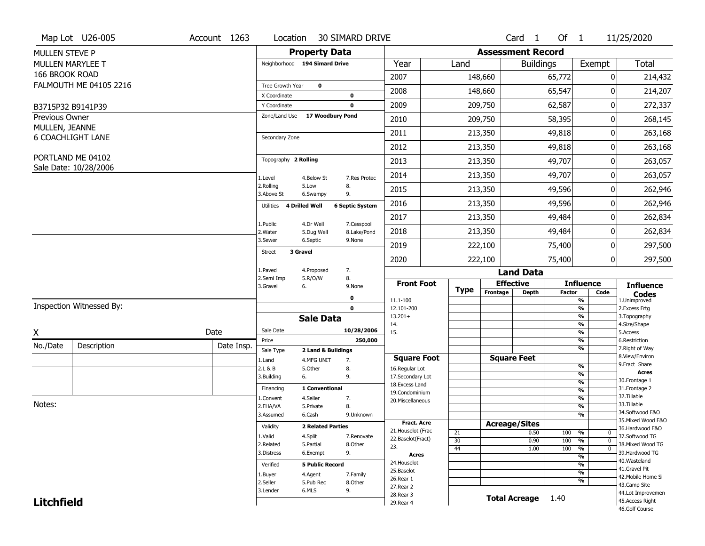|                       | Map Lot U26-005                            | Account 1263 | Location                           |                          | <b>30 SIMARD DRIVE</b> |                                      |             |                          | Card <sub>1</sub>    | Of $1$        |                                | 11/25/2020                         |
|-----------------------|--------------------------------------------|--------------|------------------------------------|--------------------------|------------------------|--------------------------------------|-------------|--------------------------|----------------------|---------------|--------------------------------|------------------------------------|
| <b>MULLEN STEVE P</b> |                                            |              |                                    | <b>Property Data</b>     |                        |                                      |             | <b>Assessment Record</b> |                      |               |                                |                                    |
|                       | <b>MULLEN MARYLEE T</b>                    |              | Neighborhood 194 Simard Drive      |                          |                        | Year                                 | Land        |                          | <b>Buildings</b>     |               | Exempt                         | <b>Total</b>                       |
| 166 BROOK ROAD        |                                            |              |                                    |                          |                        | 2007                                 |             | 148,660                  |                      | 65,772        | 0                              | 214,432                            |
|                       | FALMOUTH ME 04105 2216                     |              | Tree Growth Year                   | $\mathbf 0$              |                        |                                      |             |                          |                      |               |                                |                                    |
|                       |                                            |              | X Coordinate                       |                          | $\mathbf 0$            | 2008                                 |             | 148,660                  |                      | 65,547        | 0                              | 214,207                            |
|                       | B3715P32 B9141P39                          |              | Y Coordinate                       |                          | $\mathbf 0$            | 2009                                 |             | 209,750                  |                      | 62,587        | 0                              | 272,337                            |
| Previous Owner        |                                            |              | Zone/Land Use                      | 17 Woodbury Pond         |                        | 2010                                 |             | 209,750                  |                      | 58,395        | 0                              | 268,145                            |
| MULLEN, JEANNE        | <b>6 COACHLIGHT LANE</b>                   |              | Secondary Zone                     |                          |                        | 2011                                 |             | 213,350                  |                      | 49,818        | 0                              | 263,168                            |
|                       |                                            |              |                                    |                          |                        | 2012                                 |             | 213,350                  |                      | 49,818        | 0                              | 263,168                            |
|                       | PORTLAND ME 04102<br>Sale Date: 10/28/2006 |              | Topography 2 Rolling               |                          |                        | 2013                                 |             | 213,350                  |                      | 49,707        | 0                              | 263,057                            |
|                       |                                            |              | 1.Level                            | 4.Below St               | 7.Res Protec           | 2014                                 |             | 213,350                  |                      | 49,707        | 0                              | 263,057                            |
|                       |                                            |              | 2.Rolling<br>3.Above St            | 5.Low<br>6.Swampy        | 8.<br>9.               | 2015                                 |             | 213,350                  |                      | 49,596        | 0                              | 262,946                            |
|                       |                                            |              | <b>4 Drilled Well</b><br>Utilities |                          | <b>6 Septic System</b> | 2016                                 |             | 213,350                  |                      | 49,596        | 0                              | 262,946                            |
|                       |                                            |              | 1.Public                           | 4.Dr Well                | 7.Cesspool             | 2017                                 |             | 213,350                  |                      | 49,484        | 0                              | 262,834                            |
|                       |                                            |              | 2. Water                           | 5.Dug Well               | 8.Lake/Pond            | 2018                                 |             | 213,350                  |                      | 49,484        | 0                              | 262,834                            |
|                       |                                            |              | 3.Sewer                            | 6.Septic                 | 9.None                 | 2019                                 |             | 222,100                  |                      | 75,400        | 0                              | 297,500                            |
|                       |                                            |              | 3 Gravel<br>Street                 |                          |                        | 2020                                 |             | 222,100                  |                      | 75,400        | 0                              | 297,500                            |
|                       |                                            |              | 1.Paved                            | 4.Proposed               | 7.                     |                                      |             |                          | <b>Land Data</b>     |               |                                |                                    |
|                       |                                            |              | 2.Semi Imp<br>3.Gravel<br>6.       | 5.R/O/W                  | 8.<br>9.None           | <b>Front Foot</b>                    | <b>Type</b> | <b>Effective</b>         |                      |               | <b>Influence</b>               | <b>Influence</b>                   |
|                       |                                            |              |                                    |                          | $\mathbf 0$            | 11.1-100                             |             | Frontage                 | <b>Depth</b>         | <b>Factor</b> | Code<br>%                      | <b>Codes</b><br>1.Unimproved       |
|                       | Inspection Witnessed By:                   |              |                                    |                          | $\mathbf 0$            | 12.101-200                           |             |                          |                      |               | $\frac{9}{6}$                  | 2.Excess Frtg                      |
|                       |                                            |              |                                    | <b>Sale Data</b>         |                        | $13.201+$<br>14.                     |             |                          |                      |               | %<br>%                         | 3. Topography<br>4.Size/Shape      |
| X                     |                                            | Date         | Sale Date                          |                          | 10/28/2006             | 15.                                  |             |                          |                      |               | $\frac{9}{6}$                  | 5.Access                           |
| No./Date              | Description                                | Date Insp.   | Price                              |                          | 250,000                |                                      |             |                          |                      |               | %                              | 6.Restriction                      |
|                       |                                            |              | Sale Type                          | 2 Land & Buildings       |                        |                                      |             |                          |                      |               | %                              | 7. Right of Way<br>8.View/Environ  |
|                       |                                            |              | 1.Land<br>2.L & B                  | 4.MFG UNIT<br>5.Other    | 7.<br>8.               | <b>Square Foot</b><br>16.Regular Lot |             | <b>Square Feet</b>       |                      |               | $\frac{9}{6}$                  | 9. Fract Share                     |
|                       |                                            |              | 3.Building<br>6.                   |                          | 9.                     | 17.Secondary Lot                     |             |                          |                      |               | $\frac{9}{6}$                  | <b>Acres</b>                       |
|                       |                                            |              | Financing                          | 1 Conventional           |                        | 18.Excess Land                       |             |                          |                      |               | $\frac{9}{6}$                  | 30. Frontage 1<br>31. Frontage 2   |
|                       |                                            |              |                                    |                          |                        | 19.Condominium                       |             |                          |                      |               | $\frac{9}{6}$                  | 32. Tillable                       |
| Notes:                |                                            |              | 1.Convent<br>2.FHA/VA              | 4.Seller<br>5.Private    | 7.<br>8.               | 20.Miscellaneous                     |             |                          |                      |               | $\frac{9}{6}$<br>$\frac{9}{6}$ | 33.Tillable                        |
|                       |                                            |              | 3.Assumed                          | 6.Cash                   | 9.Unknown              |                                      |             |                          |                      |               | $\%$                           | 34.Softwood F&O                    |
|                       |                                            |              |                                    |                          |                        | <b>Fract. Acre</b>                   |             | <b>Acreage/Sites</b>     |                      |               |                                | 35. Mixed Wood F&O                 |
|                       |                                            |              | Validity                           | <b>2 Related Parties</b> |                        | 21. Houselot (Frac                   | 21          |                          | 0.50                 | 100           | %<br>0                         | 36.Hardwood F&O                    |
|                       |                                            |              | 1.Valid                            | 4.Split                  | 7.Renovate             | 22.Baselot(Fract)                    | 30          |                          | 0.90                 | 100           | $\frac{9}{6}$<br>$\mathbf 0$   | 37.Softwood TG                     |
|                       |                                            |              | 2.Related                          | 5.Partial                | 8.Other                | 23.                                  | 44          |                          | 1.00                 | 100           | %<br>$\mathbf 0$               | 38. Mixed Wood TG                  |
|                       |                                            |              | 3.Distress                         | 6.Exempt                 | 9.                     | <b>Acres</b>                         |             |                          |                      |               | $\frac{9}{6}$                  | 39.Hardwood TG                     |
|                       |                                            |              | Verified                           | <b>5 Public Record</b>   |                        | 24. Houselot                         |             |                          |                      |               | $\frac{9}{6}$                  | 40. Wasteland                      |
|                       |                                            |              | 1.Buyer                            | 4.Agent                  | 7.Family               | 25.Baselot                           |             |                          |                      |               | $\frac{9}{6}$                  | 41.Gravel Pit                      |
|                       |                                            |              | 2.Seller                           | 5.Pub Rec                | 8.0ther                | 26.Rear 1                            |             |                          |                      |               | %                              | 42. Mobile Home Si<br>43.Camp Site |
|                       |                                            |              | 3.Lender                           | 6.MLS                    | 9.                     | 27.Rear 2                            |             |                          |                      |               |                                | 44.Lot Improvemen                  |
| <b>Litchfield</b>     |                                            |              |                                    |                          |                        | 28. Rear 3<br>29. Rear 4             |             |                          | <b>Total Acreage</b> | 1.40          |                                | 45.Access Right                    |
|                       |                                            |              |                                    |                          |                        |                                      |             |                          |                      |               |                                |                                    |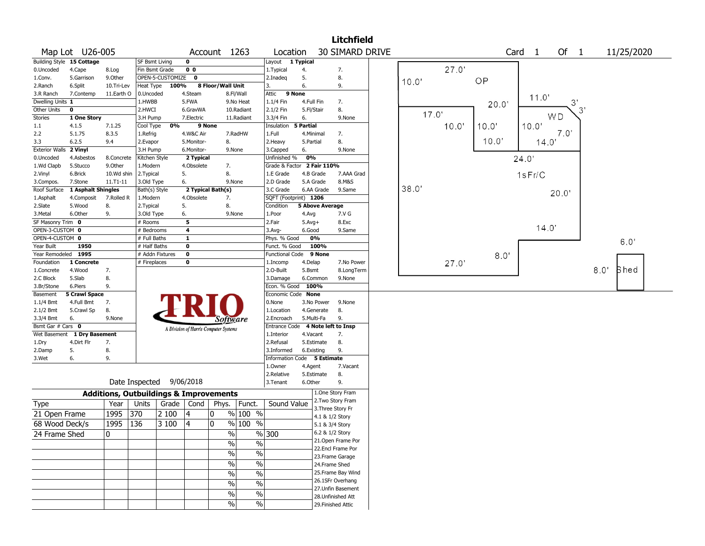|                       |                           |                                                   |                |                    |                         |                                       |                          |                       |                                   | <b>Litchfield</b>  |       |       |       |                   |             |      |             |  |
|-----------------------|---------------------------|---------------------------------------------------|----------------|--------------------|-------------------------|---------------------------------------|--------------------------|-----------------------|-----------------------------------|--------------------|-------|-------|-------|-------------------|-------------|------|-------------|--|
|                       | Map Lot U26-005           |                                                   |                |                    |                         | Account 1263                          |                          | Location              |                                   | 30 SIMARD DRIVE    |       |       |       | Card <sub>1</sub> | Of 1        |      | 11/25/2020  |  |
|                       | Building Style 15 Cottage |                                                   | SF Bsmt Living |                    | $\mathbf 0$             |                                       |                          | Layout                | 1 Typical                         |                    |       |       |       |                   |             |      |             |  |
| 0.Uncoded             | 4.Cape                    | 8.Log                                             | Fin Bsmt Grade |                    | 0 <sub>0</sub>          |                                       |                          | 1.Typical             | 4.                                | 7.                 |       | 27.0' |       |                   |             |      |             |  |
| 1.Conv.               | 5.Garrison                | 9.0ther                                           |                | OPEN-5-CUSTOMIZE 0 |                         |                                       |                          | 2.Inadeg              | 5.                                | 8.                 | 10.0' |       | OP    |                   |             |      |             |  |
| 2.Ranch               | 6.Split                   | 10.Tri-Lev                                        |                | Heat Type 100%     |                         | 8 Floor/Wall Unit                     |                          | 3.                    | 6.                                | 9.                 |       |       |       |                   |             |      |             |  |
| 3.R Ranch             | 7.Contemp                 | 11.Earth O                                        | 0.Uncoded      |                    | 4.Steam                 |                                       | 8.Fl/Wall                | Attic<br>9 None       |                                   |                    |       |       |       | 11.0              |             |      |             |  |
| Dwelling Units 1      |                           |                                                   | 1.HWBB         |                    | 5.FWA                   |                                       | 9.No Heat                | 1.1/4 Fin             | 4.Full Fin                        | 7.                 |       |       | 20.0" |                   | $3^{\circ}$ |      |             |  |
| Other Units           | $\mathbf 0$               |                                                   | 2.HWCI         |                    | 6.GravWA                |                                       | 10.Radiant               | 2.1/2 Fin             | 5.Fl/Stair                        | 8.                 |       |       |       |                   | 3'          |      |             |  |
| Stories               | 1 One Story               |                                                   | 3.H Pump       |                    | 7.Electric              |                                       | 11.Radiant               | 3.3/4 Fin             | 6.                                | 9.None             | 17.0' |       |       |                   | WD          |      |             |  |
| 1.1                   | 4.1.5                     | 7.1.25                                            | Cool Type      | 0%                 |                         | 9 None                                |                          | Insulation            | 5 Partial                         |                    |       | 10.0' | 10.0  | 10.0'             |             |      |             |  |
| 2.2                   | 5.1.75                    | 8.3.5                                             | 1.Refrig       |                    | 4.W&C Air               |                                       | 7.RadHW                  | 1.Full                | 4.Minimal                         | 7.                 |       |       |       |                   | 7.0'        |      |             |  |
| 3.3                   | 6.2.5                     | 9.4                                               | 2.Evapor       |                    | 5.Monitor-              | 8.                                    |                          | 2. Heavy              | 5.Partial                         | 8.                 |       |       | 10.0' | 14.0'             |             |      |             |  |
| <b>Exterior Walls</b> | 2 Vinyl                   |                                                   | 3.H Pump       |                    | 6.Monitor-              |                                       | 9.None                   | 3.Capped              | 6.                                | 9.None             |       |       |       |                   |             |      |             |  |
| 0.Uncoded             | 4.Asbestos                | 8.Concrete                                        | Kitchen Style  |                    | 2 Typical               |                                       |                          | Unfinished %          | 0%                                |                    |       |       |       | 24.0'             |             |      |             |  |
| 1.Wd Clapb            | 5.Stucco                  | 9.Other                                           | 1.Modern       |                    | 4.Obsolete              | 7.                                    |                          | Grade & Factor        | 2 Fair 110%                       |                    |       |       |       |                   |             |      |             |  |
| 2.Vinyl               | 6.Brick                   | 10.Wd shin                                        | 2. Typical     |                    | 5.                      | 8.                                    |                          | 1.E Grade             | 4.B Grade                         | 7.AAA Grad         |       |       |       | 1sFr/C            |             |      |             |  |
| 3.Compos.             | 7.Stone                   | 11.T1-11                                          | 3.Old Type     |                    | 6.                      |                                       | 9.None                   | 2.D Grade             | 5.A Grade                         | 8.M&S              |       |       |       |                   |             |      |             |  |
| Roof Surface          | 1 Asphalt Shingles        |                                                   | Bath(s) Style  |                    |                         | 2 Typical Bath(s)                     |                          | 3.C Grade             | 6.AA Grade                        | 9.Same             | 38.0' |       |       |                   | 20.0"       |      |             |  |
| 1.Asphalt             | 4.Composit                | 7.Rolled R                                        | 1.Modern       |                    | 4.Obsolete              | 7.                                    |                          | SQFT (Footprint) 1206 |                                   |                    |       |       |       |                   |             |      |             |  |
| 2.Slate               | 5.Wood                    | 8.                                                | 2. Typical     |                    | 5.                      | 8.                                    |                          | Condition             | 5 Above Average                   |                    |       |       |       |                   |             |      |             |  |
| 3.Metal               | 6.Other                   | 9.                                                | 3.Old Type     |                    | 6.                      |                                       | 9.None                   | 1.Poor                | 4.Avg                             | 7.V G              |       |       |       |                   |             |      |             |  |
| SF Masonry Trim 0     |                           |                                                   | # Rooms        |                    | 5                       |                                       |                          | 2.Fair                | $5.Avg+$                          | 8.Exc              |       |       |       |                   |             |      |             |  |
| OPEN-3-CUSTOM 0       |                           |                                                   | # Bedrooms     |                    | $\overline{\mathbf{4}}$ |                                       |                          | $3.$ Avg-             | 6.Good                            | 9.Same             |       |       |       | 14.0'             |             |      |             |  |
| OPEN-4-CUSTOM 0       |                           |                                                   | # Full Baths   |                    | $\mathbf{1}$            |                                       |                          | Phys. % Good          | 0%                                |                    |       |       |       |                   |             |      |             |  |
| Year Built            | 1950                      |                                                   | # Half Baths   |                    | $\mathbf 0$             |                                       |                          | Funct. % Good         | 100%                              |                    |       |       |       |                   |             |      | 6.0'        |  |
| Year Remodeled 1995   |                           |                                                   |                | # Addn Fixtures    | $\mathbf 0$             |                                       |                          |                       | Functional Code 9 None            |                    |       |       | 8.0'  |                   |             |      |             |  |
| Foundation            | 1 Concrete                |                                                   | # Fireplaces   |                    | 0                       |                                       |                          | 1.Incomp              | 4.Delap                           | 7.No Power         |       | 27.0' |       |                   |             |      |             |  |
| 1.Concrete            | 4.Wood                    | 7.                                                |                |                    |                         |                                       |                          | 2.O-Built             | 5.Bsmt                            | 8.LongTerm         |       |       |       |                   |             | 8.0' | <b>Bhed</b> |  |
| 2.C Block             | 5.Slab                    | 8.                                                |                |                    |                         |                                       |                          | 3.Damage              | 6.Common                          | 9.None             |       |       |       |                   |             |      |             |  |
| 3.Br/Stone            | 6.Piers                   | 9.                                                |                |                    |                         |                                       |                          | Econ. % Good          | 100%                              |                    |       |       |       |                   |             |      |             |  |
| Basement              | <b>5 Crawl Space</b>      |                                                   |                |                    |                         |                                       |                          | Economic Code None    |                                   |                    |       |       |       |                   |             |      |             |  |
| 1.1/4 Bmt             | 4.Full Bmt                | 7.                                                |                |                    |                         |                                       |                          | 0.None                | 3.No Power                        | 9.None             |       |       |       |                   |             |      |             |  |
| 2.1/2 Bmt             | 5.Crawl Sp                | 8.                                                |                |                    |                         |                                       |                          | 1.Location            | 4.Generate                        | 8.                 |       |       |       |                   |             |      |             |  |
| 3.3/4 Bmt             | 6.                        | 9.None                                            |                |                    |                         | Software                              |                          | 2.Encroach            | 5.Multi-Fa                        | 9.                 |       |       |       |                   |             |      |             |  |
| Bsmt Gar # Cars 0     |                           |                                                   |                |                    |                         | A Division of Harris Computer Systems |                          |                       | Entrance Code 4 Note left to Insp |                    |       |       |       |                   |             |      |             |  |
| Wet Basement          | 1 Dry Basement            |                                                   |                |                    |                         |                                       |                          | 1.Interior            | 4.Vacant                          | 7.                 |       |       |       |                   |             |      |             |  |
| 1.Dry                 | 4.Dirt Flr                | 7.                                                |                |                    |                         |                                       |                          | 2.Refusal             | 5.Estimate                        | 8.                 |       |       |       |                   |             |      |             |  |
| 2.Damp                | 5.                        | 8.                                                |                |                    |                         |                                       |                          | 3.Informed            | 6.Existing                        | 9.                 |       |       |       |                   |             |      |             |  |
| 3.Wet                 | 6.                        | 9.                                                |                |                    |                         |                                       |                          |                       | Information Code 5 Estimate       |                    |       |       |       |                   |             |      |             |  |
|                       |                           |                                                   |                |                    |                         |                                       |                          | 1.Owner               | 4.Agent                           | 7.Vacant           |       |       |       |                   |             |      |             |  |
|                       |                           |                                                   |                |                    |                         |                                       |                          | 2.Relative            | 5.Estimate                        | 8.                 |       |       |       |                   |             |      |             |  |
|                       |                           | Date Inspected                                    |                |                    | 9/06/2018               |                                       |                          | 3.Tenant              | 6.Other                           | 9.                 |       |       |       |                   |             |      |             |  |
|                       |                           | <b>Additions, Outbuildings &amp; Improvements</b> |                |                    |                         |                                       |                          |                       |                                   | 1.One Story Fram   |       |       |       |                   |             |      |             |  |
| <b>Type</b>           |                           | Year                                              | Units          | Grade $ $          | Cond                    | Phys.                                 | Funct.                   | Sound Value           |                                   | 2. Two Story Fram  |       |       |       |                   |             |      |             |  |
| 21 Open Frame         |                           | 1995                                              | 370            | 2 100              | 4                       | 0                                     | % 100 %                  |                       |                                   | 3. Three Story Fr  |       |       |       |                   |             |      |             |  |
|                       |                           |                                                   |                |                    |                         |                                       |                          |                       |                                   | 4.1 & 1/2 Story    |       |       |       |                   |             |      |             |  |
| 68 Wood Deck/s        |                           | 1995                                              | 136            | 3 100              | 14                      | 0                                     | % 100 %                  |                       |                                   | 5.1 & 3/4 Story    |       |       |       |                   |             |      |             |  |
| 24 Frame Shed         |                           | 0                                                 |                |                    |                         | $\frac{1}{2}$                         |                          | $\frac{9}{6}$ 300     |                                   | 6.2 & 1/2 Story    |       |       |       |                   |             |      |             |  |
|                       |                           |                                                   |                |                    |                         | %                                     | $\%$                     |                       |                                   | 21.Open Frame Por  |       |       |       |                   |             |      |             |  |
|                       |                           |                                                   |                |                    |                         | $\sqrt{0}$                            | $\%$                     |                       |                                   | 22.Encl Frame Por  |       |       |       |                   |             |      |             |  |
|                       |                           |                                                   |                |                    |                         |                                       |                          |                       |                                   | 23. Frame Garage   |       |       |       |                   |             |      |             |  |
|                       |                           |                                                   |                |                    |                         | $\sqrt{6}$                            | $\%$                     |                       |                                   | 24.Frame Shed      |       |       |       |                   |             |      |             |  |
|                       |                           |                                                   |                |                    |                         | $\sqrt{0}$                            | $\%$                     |                       |                                   | 25. Frame Bay Wind |       |       |       |                   |             |      |             |  |
|                       |                           |                                                   |                |                    |                         | $\sqrt{6}$                            | $\overline{\frac{0}{6}}$ |                       |                                   | 26.1SFr Overhang   |       |       |       |                   |             |      |             |  |
|                       |                           |                                                   |                |                    |                         | $\sqrt{6}$                            | $\overline{\frac{0}{6}}$ |                       |                                   | 27. Unfin Basement |       |       |       |                   |             |      |             |  |
|                       |                           |                                                   |                |                    |                         |                                       |                          |                       |                                   | 28. Unfinished Att |       |       |       |                   |             |      |             |  |
|                       |                           |                                                   |                |                    |                         | $\sqrt{0}$                            | $\%$                     |                       |                                   | 29. Finished Attic |       |       |       |                   |             |      |             |  |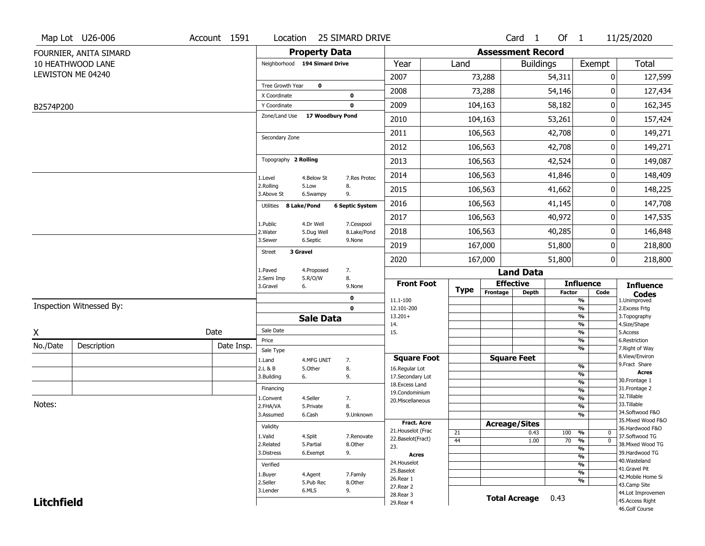|                   | Map Lot U26-006          | Account 1591 | Location                      |                      | <b>25 SIMARD DRIVE</b>     |                                         |                 |                          | Card 1               | Of 1            |                                      | 11/25/2020                            |
|-------------------|--------------------------|--------------|-------------------------------|----------------------|----------------------------|-----------------------------------------|-----------------|--------------------------|----------------------|-----------------|--------------------------------------|---------------------------------------|
|                   | FOURNIER, ANITA SIMARD   |              |                               | <b>Property Data</b> |                            |                                         |                 | <b>Assessment Record</b> |                      |                 |                                      |                                       |
|                   | 10 HEATHWOOD LANE        |              | Neighborhood 194 Simard Drive |                      |                            | Year                                    | Land            |                          | <b>Buildings</b>     |                 | Exempt                               | Total                                 |
|                   | LEWISTON ME 04240        |              |                               |                      |                            | 2007                                    |                 | 73,288                   |                      | 54,311          | 0                                    | 127,599                               |
|                   |                          |              | Tree Growth Year              | $\mathbf 0$          |                            | 2008                                    |                 | 73,288                   |                      | 54,146          | 0                                    | 127,434                               |
|                   |                          |              | X Coordinate                  |                      | $\mathbf 0$<br>$\mathbf 0$ | 2009                                    |                 | 104,163                  |                      | 58,182          | 0                                    | 162,345                               |
| B2574P200         |                          |              | Y Coordinate<br>Zone/Land Use | 17 Woodbury Pond     |                            |                                         |                 |                          |                      |                 |                                      |                                       |
|                   |                          |              |                               |                      |                            | 2010                                    |                 | 104,163                  |                      | 53,261          | 0                                    | 157,424                               |
|                   |                          |              | Secondary Zone                |                      |                            | 2011                                    |                 | 106,563                  |                      | 42,708          | 0                                    | 149,271                               |
|                   |                          |              |                               |                      |                            | 2012                                    |                 | 106,563                  |                      | 42,708          | 0                                    | 149,271                               |
|                   |                          |              | Topography 2 Rolling          |                      |                            | 2013                                    |                 | 106,563                  |                      | 42,524          | 0                                    | 149,087                               |
|                   |                          |              | 1.Level                       | 4.Below St           | 7.Res Protec               | 2014                                    |                 | 106,563                  |                      | 41,846          | 0                                    | 148,409                               |
|                   |                          |              | 2.Rolling<br>3.Above St       | 5.Low<br>6.Swampy    | 8.<br>9.                   | 2015                                    |                 | 106,563                  |                      | 41,662          | 0                                    | 148,225                               |
|                   |                          |              | 8 Lake/Pond<br>Utilities      |                      | <b>6 Septic System</b>     | 2016                                    |                 | 106,563                  |                      | 41,145          | 0                                    | 147,708                               |
|                   |                          |              | 1.Public                      | 4.Dr Well            | 7.Cesspool                 | 2017                                    |                 | 106,563                  |                      | 40,972          | 0                                    | 147,535                               |
|                   |                          |              | 2. Water                      | 5.Dug Well           | 8.Lake/Pond                | 2018                                    |                 | 106,563                  |                      | 40,285          | 0                                    | 146,848                               |
|                   |                          |              | 3.Sewer                       | 6.Septic             | 9.None                     | 2019                                    |                 | 167,000                  |                      | 51,800          | 0                                    | 218,800                               |
|                   |                          |              | 3 Gravel<br><b>Street</b>     |                      |                            | 2020                                    |                 | 167,000                  |                      | 51,800          | 0                                    | 218,800                               |
|                   |                          |              | 1.Paved                       | 4.Proposed           | 7.                         |                                         |                 |                          | <b>Land Data</b>     |                 |                                      |                                       |
|                   |                          |              | 2.Semi Imp<br>3.Gravel        | 5.R/O/W<br>6.        | 8.<br>9.None               | <b>Front Foot</b>                       |                 | <b>Effective</b>         |                      |                 | <b>Influence</b>                     | <b>Influence</b>                      |
|                   |                          |              |                               |                      | 0                          | 11.1-100                                | <b>Type</b>     | Frontage                 | Depth                | <b>Factor</b>   | Code<br>$\frac{9}{6}$                | <b>Codes</b><br>1.Unimproved          |
|                   | Inspection Witnessed By: |              |                               |                      | $\mathbf 0$                | 12.101-200                              |                 |                          |                      |                 | $\frac{9}{6}$                        | 2. Excess Frtg                        |
|                   |                          |              |                               | <b>Sale Data</b>     |                            | $13.201+$<br>14.                        |                 |                          |                      |                 | %<br>$\frac{9}{6}$                   | 3. Topography<br>4.Size/Shape         |
| X                 |                          | Date         | Sale Date                     |                      |                            | 15.                                     |                 |                          |                      |                 | $\frac{9}{6}$                        | 5.Access                              |
| No./Date          | Description              | Date Insp.   | Price                         |                      |                            |                                         |                 |                          |                      |                 | %<br>%                               | 6.Restriction<br>7. Right of Way      |
|                   |                          |              | Sale Type<br>1.Land           | 4.MFG UNIT           | 7.                         | <b>Square Foot</b>                      |                 | <b>Square Feet</b>       |                      |                 |                                      | 8.View/Environ                        |
|                   |                          |              | 2.L & B                       | 5.0ther              | 8.                         | 16.Regular Lot                          |                 |                          |                      |                 | %                                    | 9.Fract Share                         |
|                   |                          |              | 3.Building                    | 6.                   | 9.                         | 17.Secondary Lot                        |                 |                          |                      |                 | %<br>$\frac{9}{6}$                   | <b>Acres</b><br>30. Frontage 1        |
|                   |                          |              | Financing                     |                      |                            | 18.Excess Land<br>19.Condominium        |                 |                          |                      |                 | $\frac{9}{6}$                        | 31. Frontage 2                        |
|                   |                          |              | 1.Convent                     | 4.Seller             | 7.                         | 20.Miscellaneous                        |                 |                          |                      |                 | $\frac{9}{6}$                        | 32.Tillable                           |
| Notes:            |                          |              | 2.FHA/VA                      | 5.Private            | 8.                         |                                         |                 |                          |                      |                 | $\frac{9}{6}$                        | 33.Tillable                           |
|                   |                          |              | 3.Assumed                     | 6.Cash               | 9.Unknown                  |                                         |                 |                          |                      |                 | $\frac{9}{6}$                        | 34.Softwood F&O<br>35. Mixed Wood F&O |
|                   |                          |              | Validity                      |                      |                            | <b>Fract. Acre</b>                      |                 | <b>Acreage/Sites</b>     |                      |                 |                                      | 36.Hardwood F&O                       |
|                   |                          |              | 1.Valid                       | 4.Split              | 7.Renovate                 | 21. Houselot (Frac<br>22.Baselot(Fract) | 21              |                          | 0.43                 | 100             | %<br>0                               | 37.Softwood TG                        |
|                   |                          |              | 2.Related                     | 5.Partial            | 8.Other                    | 23.                                     | $\overline{44}$ |                          | 1.00                 | $\overline{70}$ | $\overline{0}$<br>%<br>$\frac{9}{6}$ | 38. Mixed Wood TG                     |
|                   |                          |              | 3.Distress                    | 6.Exempt             | 9.                         | Acres                                   |                 |                          |                      |                 | $\frac{9}{6}$                        | 39.Hardwood TG                        |
|                   |                          |              | Verified                      |                      |                            | 24. Houselot                            |                 |                          |                      |                 | $\frac{9}{6}$                        | 40. Wasteland                         |
|                   |                          |              | 1.Buyer                       | 4.Agent              | 7.Family                   | 25.Baselot                              |                 |                          |                      |                 | $\frac{9}{6}$                        | 41.Gravel Pit                         |
|                   |                          |              | 2.Seller                      | 5.Pub Rec            | 8.Other                    | 26.Rear 1                               |                 |                          |                      |                 | $\frac{9}{6}$                        | 42. Mobile Home Si<br>43.Camp Site    |
|                   |                          |              | 3.Lender                      | 6.MLS                | 9.                         | 27. Rear 2                              |                 |                          |                      |                 |                                      | 44.Lot Improvemen                     |
| <b>Litchfield</b> |                          |              |                               |                      |                            | 28. Rear 3<br>29. Rear 4                |                 |                          | <b>Total Acreage</b> | 0.43            |                                      | 45.Access Right                       |
|                   |                          |              |                               |                      |                            |                                         |                 |                          |                      |                 |                                      | 46.Golf Course                        |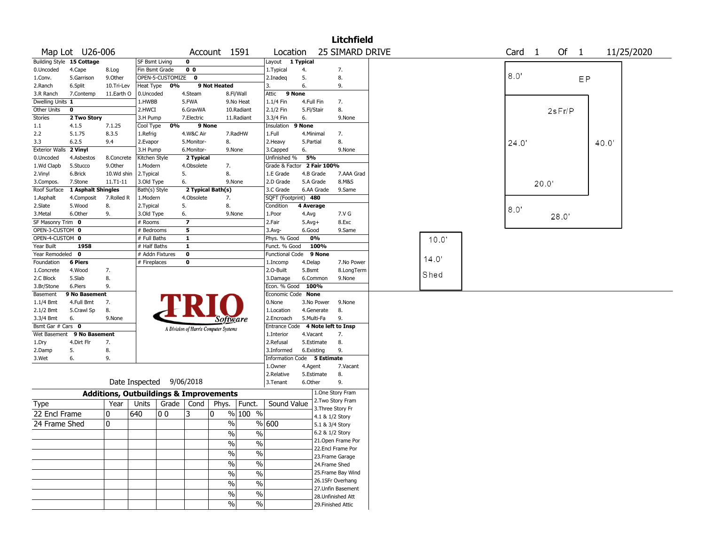|                        |                           |                                                   |                       |                  |                |                                       |                          |                                   |              |                 | <b>Litchfield</b>  |       |        |       |        |        |       |            |  |
|------------------------|---------------------------|---------------------------------------------------|-----------------------|------------------|----------------|---------------------------------------|--------------------------|-----------------------------------|--------------|-----------------|--------------------|-------|--------|-------|--------|--------|-------|------------|--|
|                        | Map Lot U26-006           |                                                   |                       |                  |                | Account 1591                          |                          | Location                          |              |                 | 25 SIMARD DRIVE    |       | Card 1 |       |        | Of $1$ |       | 11/25/2020 |  |
|                        | Building Style 15 Cottage |                                                   | <b>SF Bsmt Living</b> |                  | $\mathbf 0$    |                                       |                          | Layout 1 Typical                  |              |                 |                    |       |        |       |        |        |       |            |  |
| 0.Uncoded              | 4.Cape                    | 8.Log                                             | Fin Bsmt Grade        |                  | 0 <sub>0</sub> |                                       |                          | 1. Typical                        | 4.           |                 | 7.                 |       |        |       |        |        |       |            |  |
| 1.Conv.                | 5.Garrison                | 9.Other                                           |                       | OPEN-5-CUSTOMIZE | $\mathbf 0$    |                                       |                          | 2.Inadeg                          | 5.           |                 | 8.                 |       | 8.0'   |       |        |        | EP    |            |  |
| 2.Ranch                | 6.Split                   | 10.Tri-Lev                                        | Heat Type             | 0%               |                | 9 Not Heated                          |                          | 3.                                | 6.           |                 | 9.                 |       |        |       |        |        |       |            |  |
| 3.R Ranch              | 7.Contemp                 | 11.Earth O                                        | 0.Uncoded             |                  | 4.Steam        |                                       | 8.Fl/Wall                | 9 None<br>Attic                   |              |                 |                    |       |        |       |        |        |       |            |  |
| Dwelling Units 1       |                           |                                                   | 1.HWBB                |                  | 5.FWA          |                                       | 9.No Heat                | 1.1/4 Fin                         | 4.Full Fin   |                 | 7.                 |       |        |       |        |        |       |            |  |
| Other Units            | $\mathbf 0$               |                                                   | 2.HWCI                |                  | 6.GravWA       |                                       | 10.Radiant               | 2.1/2 Fin                         | 5.Fl/Stair   |                 | 8.                 |       |        |       | 2sFr/P |        |       |            |  |
| Stories                | 2 Two Story               |                                                   | 3.H Pump              |                  | 7.Electric     |                                       | 11.Radiant               | 3.3/4 Fin                         | 6.           |                 | 9.None             |       |        |       |        |        |       |            |  |
| $1.1\,$                | 4.1.5                     | 7.1.25                                            | Cool Type             | 0%               |                | 9 None                                |                          | Insulation                        | 9 None       |                 |                    |       |        |       |        |        |       |            |  |
| 2.2                    | 5.1.75                    | 8.3.5                                             | 1.Refrig              |                  | 4.W&C Air      |                                       | 7.RadHW                  | 1.Full                            | 4.Minimal    |                 | 7.                 |       |        |       |        |        |       |            |  |
| 3.3                    | 6.2.5                     | 9.4                                               | 2.Evapor              |                  | 5.Monitor-     | 8.                                    |                          | 2.Heavy                           | 5.Partial    |                 | 8.                 |       | 24.0   |       |        |        | 40.0' |            |  |
| Exterior Walls 2 Vinyl |                           |                                                   | 3.H Pump              |                  | 6.Monitor-     |                                       | 9.None                   | 3.Capped                          | 6.           |                 | 9.None             |       |        |       |        |        |       |            |  |
| 0.Uncoded              | 4.Asbestos                | 8.Concrete                                        | Kitchen Style         |                  | 2 Typical      |                                       |                          | Unfinished %                      | 5%           |                 |                    |       |        |       |        |        |       |            |  |
| 1.Wd Clapb             | 5.Stucco                  | 9.0ther                                           | 1.Modern              |                  | 4.Obsolete     | 7.                                    |                          | Grade & Factor                    |              | 2 Fair 100%     |                    |       |        |       |        |        |       |            |  |
| 2.Vinyl                | 6.Brick                   | 10.Wd shin                                        | 2.Typical             |                  | 5.             | 8.                                    |                          | 1.E Grade                         |              | 4.B Grade       | 7.AAA Grad         |       |        |       |        |        |       |            |  |
| 3.Compos.              | 7.Stone                   | 11.T1-11                                          | 3.Old Type            |                  | 6.             | 9.None                                |                          | 2.D Grade                         |              | 5.A Grade       | 8.M&S              |       |        | 20.0' |        |        |       |            |  |
| Roof Surface           | 1 Asphalt Shingles        |                                                   | Bath(s) Style         |                  |                | 2 Typical Bath(s)                     |                          | 3.C Grade                         |              | 6.AA Grade      | 9.Same             |       |        |       |        |        |       |            |  |
| 1.Asphalt              | 4.Composit                | 7.Rolled R                                        | 1.Modern              |                  | 4.Obsolete     | 7.                                    |                          | SQFT (Footprint) 480              |              |                 |                    |       |        |       |        |        |       |            |  |
| 2.Slate                | 5.Wood                    | 8.                                                | 2.Typical             |                  | 5.             | 8.                                    |                          | Condition                         | 4 Average    |                 |                    |       | 8.0'   |       |        |        |       |            |  |
| 3.Metal                | 6.Other                   | 9.                                                | 3.Old Type            |                  | 6.             | 9.None                                |                          | 1.Poor                            | 4.Avg        |                 | 7.V G              |       |        |       | 28.0'  |        |       |            |  |
| SF Masonry Trim 0      |                           |                                                   | # Rooms               |                  |                |                                       |                          | 2.Fair                            | $5.$ Avg $+$ |                 | 8.Exc              |       |        |       |        |        |       |            |  |
| OPEN-3-CUSTOM 0        |                           |                                                   | # Bedrooms            |                  | 5              |                                       |                          | 3.Avg-                            | 6.Good       |                 | 9.Same             |       |        |       |        |        |       |            |  |
| OPEN-4-CUSTOM 0        |                           |                                                   | # Full Baths          |                  | $\mathbf{1}$   |                                       |                          | Phys. % Good                      |              | 0%              |                    | 10.0  |        |       |        |        |       |            |  |
| Year Built             | 1958                      |                                                   | # Half Baths          |                  | $\mathbf{1}$   |                                       |                          | Funct. % Good                     |              | 100%            |                    |       |        |       |        |        |       |            |  |
| Year Remodeled 0       |                           |                                                   | # Addn Fixtures       |                  | 0              |                                       |                          | <b>Functional Code</b>            |              | 9 None          |                    |       |        |       |        |        |       |            |  |
| Foundation             | <b>6 Piers</b>            |                                                   | # Fireplaces          |                  | 0              |                                       |                          | 1.Incomp                          | 4.Delap      |                 | 7.No Power         | 14.0' |        |       |        |        |       |            |  |
| 1.Concrete             | 4.Wood                    | 7.                                                |                       |                  |                |                                       |                          | 2.0-Built                         | 5.Bsmt       |                 | 8.LongTerm         | Shed  |        |       |        |        |       |            |  |
| 2.C Block              | 5.Slab                    | 8.                                                |                       |                  |                |                                       |                          | 3.Damage                          |              | 6.Common        | 9.None             |       |        |       |        |        |       |            |  |
| 3.Br/Stone             | 6.Piers                   | 9.                                                |                       |                  |                |                                       |                          | Econ. % Good                      | 100%         |                 |                    |       |        |       |        |        |       |            |  |
| Basement               | 9 No Basement             |                                                   |                       |                  |                |                                       |                          | Economic Code None                |              |                 |                    |       |        |       |        |        |       |            |  |
| $1.1/4$ Bmt            | 4.Full Bmt                | 7.                                                |                       |                  |                |                                       |                          | 0.None                            |              | 3.No Power      | 9.None             |       |        |       |        |        |       |            |  |
| 2.1/2 Bmt              | 5.Crawl Sp                | 8.                                                |                       |                  |                |                                       |                          | 1.Location                        |              | 4.Generate      | 8.                 |       |        |       |        |        |       |            |  |
| 3.3/4 Bmt              | 6.                        | 9.None                                            |                       |                  |                | Software                              |                          | 2.Encroach                        | 5.Multi-Fa   |                 | 9.                 |       |        |       |        |        |       |            |  |
| Bsmt Gar # Cars 0      |                           |                                                   |                       |                  |                | A Division of Harris Computer Systems |                          | Entrance Code 4 Note left to Insp |              |                 |                    |       |        |       |        |        |       |            |  |
| Wet Basement           | 9 No Basement             |                                                   |                       |                  |                |                                       |                          | 1.Interior                        | 4.Vacant     |                 | 7.                 |       |        |       |        |        |       |            |  |
| 1.Dry                  | 4.Dirt Flr                | 7.                                                |                       |                  |                |                                       |                          | 2.Refusal                         |              | 5.Estimate      | 8.                 |       |        |       |        |        |       |            |  |
| 2.Damp                 | 5.                        | 8.                                                |                       |                  |                |                                       |                          | 3.Informed                        |              | 6.Existing      | 9.                 |       |        |       |        |        |       |            |  |
| 3.Wet                  | 6.                        | 9.                                                |                       |                  |                |                                       |                          | Information Code 5 Estimate       |              |                 |                    |       |        |       |        |        |       |            |  |
|                        |                           |                                                   |                       |                  |                |                                       |                          | 1.0wner                           | 4.Agent      |                 | 7.Vacant           |       |        |       |        |        |       |            |  |
|                        |                           |                                                   |                       |                  |                |                                       |                          | 2.Relative                        |              | 5.Estimate      | 8.                 |       |        |       |        |        |       |            |  |
|                        |                           |                                                   | Date Inspected        |                  | 9/06/2018      |                                       |                          | 3. Tenant                         | 6.Other      |                 | 9.                 |       |        |       |        |        |       |            |  |
|                        |                           | <b>Additions, Outbuildings &amp; Improvements</b> |                       |                  |                |                                       |                          |                                   |              |                 | 1.One Story Fram   |       |        |       |        |        |       |            |  |
| Type                   |                           | Year                                              | Units                 |                  | Grade   Cond   | Phys.                                 | Funct.                   | Sound Value                       |              |                 | 2. Two Story Fram  |       |        |       |        |        |       |            |  |
| 22 Encl Frame          |                           | 0                                                 | 640                   | O O              | 3              | 0                                     | $%100$ %                 |                                   |              |                 | 3. Three Story Fr  |       |        |       |        |        |       |            |  |
|                        |                           |                                                   |                       |                  |                |                                       |                          |                                   |              | 4.1 & 1/2 Story |                    |       |        |       |        |        |       |            |  |
| 24 Frame Shed          |                           | 0                                                 |                       |                  |                | $\%$                                  |                          | % 600                             |              | 5.1 & 3/4 Story |                    |       |        |       |        |        |       |            |  |
|                        |                           |                                                   |                       |                  |                | $\frac{0}{0}$                         | $\%$                     |                                   |              | 6.2 & 1/2 Story |                    |       |        |       |        |        |       |            |  |
|                        |                           |                                                   |                       |                  |                | $\frac{0}{0}$                         | $\frac{0}{0}$            |                                   |              |                 | 21. Open Frame Por |       |        |       |        |        |       |            |  |
|                        |                           |                                                   |                       |                  |                | $\frac{1}{2}$                         | $\frac{0}{0}$            |                                   |              |                 | 22.Encl Frame Por  |       |        |       |        |        |       |            |  |
|                        |                           |                                                   |                       |                  |                |                                       |                          |                                   |              |                 | 23. Frame Garage   |       |        |       |        |        |       |            |  |
|                        |                           |                                                   |                       |                  |                | $\frac{1}{2}$                         | $\frac{1}{2}$            |                                   |              |                 | 24.Frame Shed      |       |        |       |        |        |       |            |  |
|                        |                           |                                                   |                       |                  |                | $\frac{0}{0}$                         | $\overline{\frac{0}{0}}$ |                                   |              |                 | 25. Frame Bay Wind |       |        |       |        |        |       |            |  |
|                        |                           |                                                   |                       |                  |                | $\frac{1}{2}$                         | $\overline{\frac{0}{0}}$ |                                   |              |                 | 26.1SFr Overhang   |       |        |       |        |        |       |            |  |
|                        |                           |                                                   |                       |                  |                | $\%$                                  | $\%$                     |                                   |              |                 | 27. Unfin Basement |       |        |       |        |        |       |            |  |
|                        |                           |                                                   |                       |                  |                |                                       |                          |                                   |              |                 | 28. Unfinished Att |       |        |       |        |        |       |            |  |
|                        |                           |                                                   |                       |                  |                | $\frac{0}{0}$                         | $\frac{0}{0}$            |                                   |              |                 | 29. Finished Attic |       |        |       |        |        |       |            |  |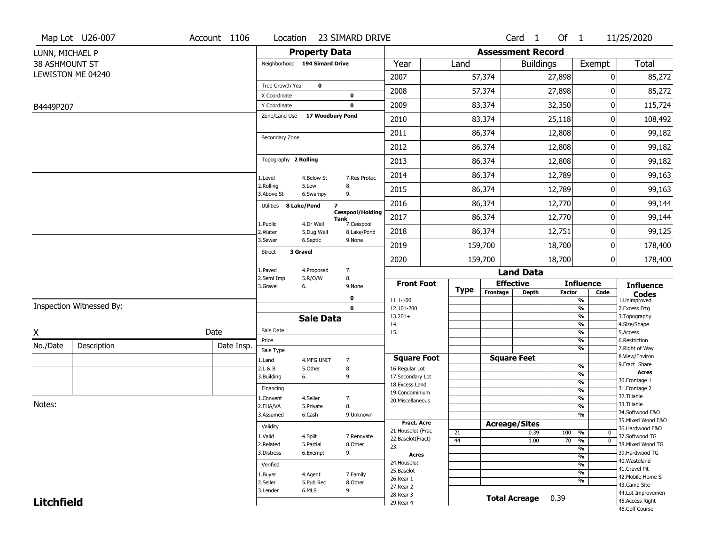|                   | Map Lot U26-007          | Account 1106                                               | Location                       |                      | 23 SIMARD DRIVE                               |                                     |             |                          | Card <sub>1</sub>    | Of $1$        |                                           | 11/25/2020                           |  |
|-------------------|--------------------------|------------------------------------------------------------|--------------------------------|----------------------|-----------------------------------------------|-------------------------------------|-------------|--------------------------|----------------------|---------------|-------------------------------------------|--------------------------------------|--|
| LUNN, MICHAEL P   |                          |                                                            |                                | <b>Property Data</b> |                                               |                                     |             | <b>Assessment Record</b> |                      |               |                                           |                                      |  |
| 38 ASHMOUNT ST    |                          |                                                            | Neighborhood 194 Simard Drive  |                      |                                               | Year                                | Land        |                          | <b>Buildings</b>     |               | Exempt                                    | Total                                |  |
|                   | LEWISTON ME 04240        |                                                            |                                |                      |                                               | 2007                                |             | 57,374                   |                      | 27,898        | 0                                         | 85,272                               |  |
|                   |                          |                                                            | Tree Growth Year               | $\mathbf 0$          |                                               | 2008                                |             | 57,374                   |                      | 27,898        | 0                                         | 85,272                               |  |
| B4449P207         |                          |                                                            | X Coordinate<br>Y Coordinate   |                      | 0<br>$\mathbf 0$                              | 2009                                |             | 83,374                   |                      | 32,350        | 0                                         | 115,724                              |  |
|                   |                          |                                                            | Zone/Land Use 17 Woodbury Pond |                      |                                               | 2010                                |             | 83,374                   |                      | 25,118        | 0                                         | 108,492                              |  |
|                   |                          |                                                            |                                |                      |                                               | 2011                                |             | 86,374                   |                      | 12,808        | 0                                         | 99,182                               |  |
|                   |                          |                                                            | Secondary Zone                 |                      |                                               | 2012                                |             | 86,374                   |                      |               | 0                                         |                                      |  |
|                   |                          |                                                            | Topography 2 Rolling           |                      |                                               |                                     |             |                          |                      | 12,808        |                                           | 99,182                               |  |
|                   |                          |                                                            |                                |                      |                                               | 2013                                |             | 86,374                   |                      | 12,808        | 0                                         | 99,182                               |  |
|                   |                          |                                                            | 1.Level                        | 4.Below St           | 7.Res Protec                                  | 2014                                |             | 86,374                   |                      | 12,789        | 0                                         | 99,163                               |  |
|                   |                          |                                                            | 2.Rolling<br>3.Above St        | 5.Low<br>6.Swampy    | 8.<br>9.                                      | 2015                                |             | 86,374                   |                      | 12,789        | 0                                         | 99,163                               |  |
|                   |                          |                                                            | Utilities 8 Lake/Pond          |                      | $\overline{\mathbf{z}}$                       | 2016                                |             | 86,374                   | 12,770               |               | 0                                         | 99,144                               |  |
|                   |                          |                                                            | 1.Public                       | 4.Dr Well            | <b>Cesspool/Holding</b><br>Tank<br>7.Cesspool | 2017                                |             | 86,374                   |                      | 12,770        | 0                                         | 99,144                               |  |
|                   |                          |                                                            | 2. Water                       | 5.Dug Well           | 8.Lake/Pond                                   | 2018                                |             | 86,374                   |                      | 12,751        | 0                                         | 99,125                               |  |
|                   |                          |                                                            | 3.Sewer<br><b>Street</b>       | 6.Septic<br>3 Gravel | 9.None                                        | 2019                                |             | 159,700                  |                      | 18,700        | 0                                         | 178,400                              |  |
|                   |                          |                                                            |                                |                      |                                               | 2020                                |             | 159,700                  |                      | 18,700        | 0                                         | 178,400                              |  |
|                   |                          | 1.Paved<br>7.<br>4.Proposed<br>2.Semi Imp<br>5.R/O/W<br>8. |                                |                      |                                               |                                     |             |                          | <b>Land Data</b>     |               |                                           |                                      |  |
|                   |                          |                                                            | 3.Gravel                       | 6.                   | 9.None                                        | <b>Front Foot</b>                   | <b>Type</b> | <b>Effective</b>         |                      |               | <b>Influence</b>                          | <b>Influence</b>                     |  |
|                   |                          |                                                            |                                |                      | 0                                             | 11.1-100                            |             | Frontage                 | <b>Depth</b>         | <b>Factor</b> | Code<br>$\overline{\frac{9}{6}}$          | <b>Codes</b><br>1.Unimproved         |  |
|                   | Inspection Witnessed By: |                                                            |                                |                      | $\mathbf 0$                                   | 12.101-200<br>$13.201+$             |             |                          |                      |               | $\frac{9}{6}$<br>$\overline{\frac{9}{6}}$ | 2.Excess Frtg<br>3. Topography       |  |
|                   |                          |                                                            |                                | <b>Sale Data</b>     |                                               | 14.                                 |             |                          |                      |               | $\frac{9}{6}$                             | 4.Size/Shape                         |  |
| X                 |                          | Date                                                       | Sale Date<br>Price             |                      |                                               | 15.                                 |             |                          |                      |               | $\overline{\frac{9}{6}}$<br>$\frac{9}{6}$ | 5.Access<br>6.Restriction            |  |
| No./Date          | Description              | Date Insp.                                                 | Sale Type                      |                      |                                               |                                     |             |                          |                      |               | $\overline{\frac{9}{6}}$                  | 7. Right of Way                      |  |
|                   |                          |                                                            | 1.Land                         | 4.MFG UNIT           | 7.                                            | <b>Square Foot</b>                  |             | <b>Square Feet</b>       |                      |               |                                           | 8.View/Environ<br>9.Fract Share      |  |
|                   |                          |                                                            | 2.L & B                        | 5.Other              | 8.                                            | 16.Regular Lot                      |             |                          |                      |               | $\frac{9}{6}$<br>$\frac{9}{6}$            | <b>Acres</b>                         |  |
|                   |                          |                                                            | 3.Building                     | 6.                   | 9.                                            | 17.Secondary Lot<br>18. Excess Land |             |                          |                      |               | $\frac{9}{6}$                             | 30. Frontage 1                       |  |
|                   |                          |                                                            | Financing                      |                      |                                               | 19.Condominium                      |             |                          |                      |               | $\frac{9}{6}$                             | 31. Frontage 2<br>32.Tillable        |  |
| Notes:            |                          |                                                            | 1.Convent                      | 4.Seller             | 7.                                            | 20.Miscellaneous                    |             |                          |                      |               | $\frac{9}{6}$                             | 33.Tillable                          |  |
|                   |                          |                                                            | 2.FHA/VA<br>3.Assumed          | 5.Private<br>6.Cash  | 8.<br>9.Unknown                               |                                     |             |                          |                      |               | $\frac{9}{6}$<br>$\frac{9}{6}$            | 34.Softwood F&O                      |  |
|                   |                          |                                                            |                                |                      |                                               | Fract. Acre                         |             | <b>Acreage/Sites</b>     |                      |               |                                           | 35. Mixed Wood F&O                   |  |
|                   |                          |                                                            | Validity                       |                      |                                               | 21. Houselot (Frac                  | 21          |                          | 0.39                 | 100 %         | 0                                         | 36.Hardwood F&O                      |  |
|                   |                          |                                                            | 1.Valid<br>2.Related           | 4.Split<br>5.Partial | 7.Renovate<br>8.Other                         | 22.Baselot(Fract)                   | 44          |                          | 1.00                 | $70 - 9/6$    | $\overline{0}$                            | 37.Softwood TG<br>38. Mixed Wood TG  |  |
|                   |                          |                                                            | 3.Distress                     | 6.Exempt             | 9.                                            | 23.                                 |             |                          |                      |               | $\overline{\frac{9}{6}}$                  | 39.Hardwood TG                       |  |
|                   |                          |                                                            |                                |                      |                                               | Acres<br>24. Houselot               |             |                          |                      |               | $\frac{9}{6}$                             | 40. Wasteland                        |  |
|                   |                          |                                                            | Verified                       |                      |                                               | 25.Baselot                          |             |                          |                      |               | %<br>$\overline{\frac{9}{6}}$             | 41.Gravel Pit                        |  |
|                   |                          | 1.Buyer<br>2.Seller                                        | 4.Agent<br>5.Pub Rec           | 7.Family<br>8.Other  | 26.Rear 1                                     |                                     |             |                          |                      | %             | 42. Mobile Home Si                        |                                      |  |
|                   |                          |                                                            | 3.Lender                       | 6.MLS                | 9.                                            | 27. Rear 2                          |             |                          |                      |               |                                           | 43.Camp Site                         |  |
| <b>Litchfield</b> |                          |                                                            |                                |                      |                                               | 28. Rear 3                          |             |                          | <b>Total Acreage</b> | 0.39          |                                           | 44.Lot Improvemen<br>45.Access Right |  |
|                   |                          |                                                            |                                |                      |                                               | 29. Rear 4                          |             |                          |                      |               |                                           |                                      |  |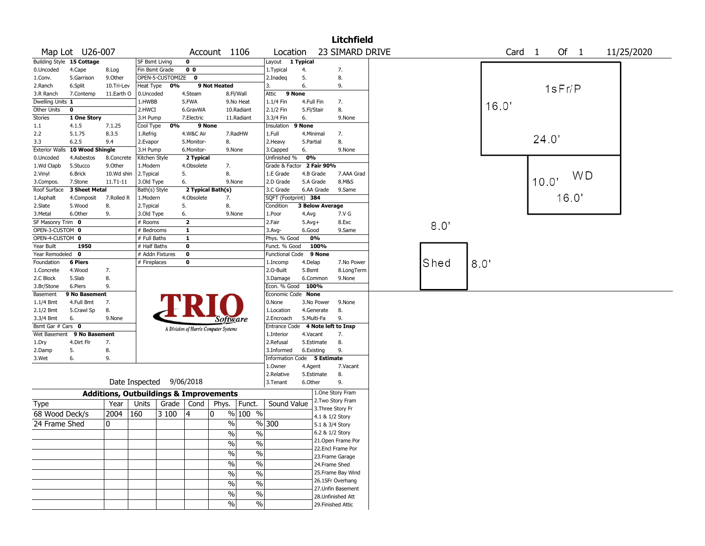|                                                    |                            |            |                                                   |                    |                                       |                 |                                |                                           |            |                          | <b>Litchfield</b>                  |      |      |       |                   |       |        |        |            |  |
|----------------------------------------------------|----------------------------|------------|---------------------------------------------------|--------------------|---------------------------------------|-----------------|--------------------------------|-------------------------------------------|------------|--------------------------|------------------------------------|------|------|-------|-------------------|-------|--------|--------|------------|--|
|                                                    | Map Lot U26-007            |            |                                                   |                    |                                       | Account 1106    |                                | Location                                  |            |                          | 23 SIMARD DRIVE                    |      |      |       | Card <sub>1</sub> |       |        | Of $1$ | 11/25/2020 |  |
|                                                    | Building Style 15 Cottage  |            | <b>SF Bsmt Living</b>                             |                    | $\mathbf 0$                           |                 |                                | Layout 1 Typical                          |            |                          |                                    |      |      |       |                   |       |        |        |            |  |
| 0.Uncoded                                          | 4.Cape                     | 8.Log      | Fin Bsmt Grade                                    |                    | 0 <sub>0</sub>                        |                 |                                | 1. Typical                                | 4.         |                          | 7.                                 |      |      |       |                   |       |        |        |            |  |
| 1.Conv.                                            | 5.Garrison                 | 9.0ther    |                                                   | OPEN-5-CUSTOMIZE 0 |                                       |                 |                                | 2.Inadeq                                  | 5.         |                          | 8.                                 |      |      |       |                   |       |        |        |            |  |
| 2.Ranch                                            | 6.Split                    | 10.Tri-Lev | Heat Type                                         | 0%                 |                                       | 9 Not Heated    |                                | 3.                                        | 6.         |                          | 9.                                 |      |      |       |                   |       | 1sFr/P |        |            |  |
| 3.R Ranch                                          | 7.Contemp                  | 11.Earth O | 0.Uncoded                                         |                    | 4.Steam                               |                 | 8.Fl/Wall                      | 9 None<br>Attic                           |            |                          |                                    |      |      |       |                   |       |        |        |            |  |
| Dwelling Units 1                                   |                            |            | 1.HWBB                                            |                    | 5.FWA                                 |                 | 9.No Heat                      | 1.1/4 Fin                                 | 4.Full Fin |                          | 7.                                 |      |      |       |                   |       |        |        |            |  |
| Other Units                                        | $\mathbf 0$                |            | 2.HWCI                                            |                    | 6.GravWA                              |                 | 10.Radiant                     | 2.1/2 Fin                                 | 5.Fl/Stair |                          | 8.                                 |      |      | 16.0' |                   |       |        |        |            |  |
| Stories                                            | 1 One Story                |            | 3.H Pump                                          |                    | 7.Electric                            |                 | 11.Radiant                     | 3.3/4 Fin                                 | 6.         |                          | 9.None                             |      |      |       |                   |       |        |        |            |  |
| 1.1                                                | 4.1.5                      | 7.1.25     | Cool Type                                         | 0%                 |                                       | 9 None          |                                | Insulation                                | 9 None     |                          |                                    |      |      |       |                   |       |        |        |            |  |
| 2.2                                                | 5.1.75                     | 8.3.5      | 1.Refrig                                          |                    | 4.W&C Air                             |                 | 7.RadHW                        | 1.Full                                    |            | 4.Minimal                | 7.                                 |      |      |       |                   |       |        |        |            |  |
| 3.3                                                | 6.2.5                      | 9.4        | 2.Evapor                                          |                    | 5.Monitor-                            | 8.              |                                | 2. Heavy                                  | 5.Partial  |                          | 8.                                 |      |      |       |                   | 24.0' |        |        |            |  |
| <b>Exterior Walls</b>                              | 10 Wood Shingle            |            | 3.H Pump                                          |                    | 6.Monitor-                            |                 | 9.None                         | 3.Capped                                  | 6.         |                          | 9.None                             |      |      |       |                   |       |        |        |            |  |
| 0.Uncoded                                          | 4.Asbestos                 | 8.Concrete | Kitchen Style                                     |                    | 2 Typical                             |                 |                                | Unfinished %                              | 0%         |                          |                                    |      |      |       |                   |       |        |        |            |  |
| 1.Wd Clapb                                         | 5.Stucco                   | 9.Other    | 1.Modern                                          |                    | 4.Obsolete                            | 7.              |                                | Grade & Factor 2 Fair 90%                 |            |                          |                                    |      |      |       |                   |       |        |        |            |  |
| 2.Vinyl                                            | 6.Brick                    | 10.Wd shin | 2. Typical                                        |                    | 5.                                    | 8.              |                                | 1.E Grade                                 |            | 4.B Grade                | 7.AAA Grad                         |      |      |       |                   |       |        | WD     |            |  |
| 3.Compos.                                          | 7.Stone                    | 11.T1-11   | 3.Old Type                                        |                    | 6.                                    |                 | 9.None                         | 2.D Grade                                 |            | 5.A Grade                | 8.M&S                              |      |      |       |                   | 10.0' |        |        |            |  |
| Roof Surface                                       | 3 Sheet Metal              |            | Bath(s) Style                                     |                    | 2 Typical Bath(s)                     |                 |                                | 3.C Grade                                 |            | 6.AA Grade               | 9.Same                             |      |      |       |                   |       |        |        |            |  |
| 1.Asphalt                                          | 4.Composit                 | 7.Rolled R | 1.Modern                                          |                    | 4.Obsolete                            | 7.              |                                | SQFT (Footprint) 384                      |            |                          |                                    |      |      |       |                   |       | 16.0'  |        |            |  |
| 2.Slate                                            | 5.Wood                     | 8.         | 2. Typical                                        |                    | 5.                                    | 8.              |                                | Condition                                 |            | 3 Below Average          |                                    |      |      |       |                   |       |        |        |            |  |
| 3.Metal                                            | 6.Other                    | 9.         | 3.Old Type                                        |                    | 6.                                    |                 | 9.None                         | 1.Poor                                    | 4.Avg      |                          | 7.V G                              |      |      |       |                   |       |        |        |            |  |
| SF Masonry Trim 0                                  |                            |            | # Rooms                                           |                    | $\overline{\mathbf{2}}$               |                 |                                | 2.Fair                                    | $5.Avg+$   |                          | 8.Exc                              | 8.0' |      |       |                   |       |        |        |            |  |
| OPEN-3-CUSTOM 0                                    |                            |            | # Bedrooms                                        |                    | $\mathbf{1}$                          |                 |                                | 3.Avg-                                    | 6.Good     |                          | 9.Same                             |      |      |       |                   |       |        |        |            |  |
| OPEN-4-CUSTOM 0                                    |                            |            | # Full Baths                                      |                    | $\mathbf{1}$                          |                 |                                | Phys. % Good                              |            | 0%                       |                                    |      |      |       |                   |       |        |        |            |  |
| Year Built                                         | 1950                       |            | # Half Baths                                      |                    | $\mathbf 0$                           |                 |                                | Funct. % Good                             |            | 100%                     |                                    |      |      |       |                   |       |        |        |            |  |
| Year Remodeled 0<br>$\mathbf 0$<br># Addn Fixtures |                            |            |                                                   |                    |                                       | Functional Code |                                | 9 None                                    |            |                          |                                    |      |      |       |                   |       |        |        |            |  |
| Foundation                                         | <b>6 Piers</b>             |            | # Fireplaces                                      |                    | 0                                     |                 |                                | 1.Incomp                                  | 4.Delap    |                          | 7.No Power                         | Shed | 8.0' |       |                   |       |        |        |            |  |
| 1.Concrete                                         | 4.Wood                     | 7.         |                                                   |                    |                                       |                 |                                | 2.O-Built                                 | 5.Bsmt     |                          | 8.LongTerm                         |      |      |       |                   |       |        |        |            |  |
| 2.C Block                                          | 5.Slab                     | 8.         |                                                   |                    |                                       |                 |                                | 3.Damage                                  |            | 6.Common                 | 9.None                             |      |      |       |                   |       |        |        |            |  |
| 3.Br/Stone                                         | 6.Piers                    | 9.         |                                                   |                    |                                       |                 |                                | Econ. % Good 100%                         |            |                          |                                    |      |      |       |                   |       |        |        |            |  |
| Basement                                           | 9 No Basement              |            |                                                   |                    |                                       |                 |                                | Economic Code None                        |            |                          |                                    |      |      |       |                   |       |        |        |            |  |
| 1.1/4 Bmt                                          | 4.Full Bmt                 | 7.         |                                                   |                    |                                       |                 |                                | 0.None                                    |            | 3.No Power               | 9.None                             |      |      |       |                   |       |        |        |            |  |
| 2.1/2 Bmt                                          | 5.Crawl Sp                 | 8.         |                                                   |                    |                                       |                 |                                | 1.Location                                |            | 4.Generate               | 8.                                 |      |      |       |                   |       |        |        |            |  |
| 3.3/4 Bmt                                          | 6.                         | 9.None     |                                                   |                    |                                       |                 | Software                       | 2.Encroach                                |            | 5.Multi-Fa               | 9.                                 |      |      |       |                   |       |        |        |            |  |
| Bsmt Gar # Cars 0                                  |                            |            |                                                   |                    | A Division of Harris Computer Systems |                 |                                | Entrance Code                             |            |                          | 4 Note left to Insp                |      |      |       |                   |       |        |        |            |  |
|                                                    | Wet Basement 9 No Basement |            |                                                   |                    |                                       |                 |                                | 1.Interior                                | 4.Vacant   |                          | 7.                                 |      |      |       |                   |       |        |        |            |  |
| 1.Dry                                              | 4.Dirt Flr<br>5.           | 7.<br>8.   |                                                   |                    |                                       |                 |                                | 2.Refusal                                 |            | 5.Estimate<br>6.Existing | 8.<br>9.                           |      |      |       |                   |       |        |        |            |  |
| 2.Damp<br>3.Wet                                    | 6.                         | 9.         |                                                   |                    |                                       |                 |                                | 3.Informed<br>Information Code 5 Estimate |            |                          |                                    |      |      |       |                   |       |        |        |            |  |
|                                                    |                            |            |                                                   |                    |                                       |                 |                                | 1.Owner                                   | 4.Agent    |                          | 7.Vacant                           |      |      |       |                   |       |        |        |            |  |
|                                                    |                            |            |                                                   |                    |                                       |                 |                                | 2.Relative                                |            | 5.Estimate               | 8.                                 |      |      |       |                   |       |        |        |            |  |
|                                                    |                            |            | Date Inspected 9/06/2018                          |                    |                                       |                 |                                | 3.Tenant                                  | 6.Other    |                          | 9.                                 |      |      |       |                   |       |        |        |            |  |
|                                                    |                            |            | <b>Additions, Outbuildings &amp; Improvements</b> |                    |                                       |                 |                                |                                           |            |                          | 1.One Story Fram                   |      |      |       |                   |       |        |        |            |  |
| Type                                               |                            | Year       | Units                                             | Grade              | Cond                                  |                 | Phys. Funct.                   | Sound Value                               |            |                          | 2. Two Story Fram                  |      |      |       |                   |       |        |        |            |  |
| 68 Wood Deck/s                                     |                            | 2004       | 160                                               | 3 100              | 14                                    | 10              | % 100 %                        |                                           |            |                          | 3. Three Story Fr                  |      |      |       |                   |       |        |        |            |  |
| 24 Frame Shed                                      |                            | 0          |                                                   |                    |                                       |                 | $\%$                           | %300                                      |            |                          | 4.1 & 1/2 Story<br>5.1 & 3/4 Story |      |      |       |                   |       |        |        |            |  |
|                                                    |                            |            |                                                   |                    |                                       |                 |                                |                                           |            |                          | 6.2 & 1/2 Story                    |      |      |       |                   |       |        |        |            |  |
|                                                    |                            |            |                                                   |                    |                                       |                 | $\%$<br>$\%$                   |                                           |            |                          | 21.Open Frame Por                  |      |      |       |                   |       |        |        |            |  |
| $\%$<br>$\%$                                       |                            |            |                                                   |                    |                                       |                 |                                |                                           |            |                          | 22.Encl Frame Por                  |      |      |       |                   |       |        |        |            |  |
| $\%$<br>%                                          |                            |            |                                                   |                    |                                       |                 |                                |                                           |            |                          | 23. Frame Garage                   |      |      |       |                   |       |        |        |            |  |
| $\%$<br>$\frac{1}{2}$                              |                            |            |                                                   |                    |                                       |                 |                                |                                           |            |                          | 24.Frame Shed                      |      |      |       |                   |       |        |        |            |  |
| $\frac{0}{6}$<br>$\%$                              |                            |            |                                                   |                    |                                       |                 |                                |                                           |            | 25. Frame Bay Wind       |                                    |      |      |       |                   |       |        |        |            |  |
| $\frac{0}{6}$<br>$\%$                              |                            |            |                                                   |                    |                                       |                 |                                |                                           |            | 26.1SFr Overhang         |                                    |      |      |       |                   |       |        |        |            |  |
|                                                    |                            |            |                                                   |                    |                                       |                 | $\frac{0}{6}$                  |                                           |            |                          | 27.Unfin Basement                  |      |      |       |                   |       |        |        |            |  |
|                                                    |                            |            |                                                   |                    |                                       |                 | $\%$                           |                                           |            |                          | 28. Unfinished Att                 |      |      |       |                   |       |        |        |            |  |
|                                                    |                            |            |                                                   |                    |                                       |                 | $\frac{9}{6}$<br>$\frac{0}{0}$ |                                           |            |                          | 29. Finished Attic                 |      |      |       |                   |       |        |        |            |  |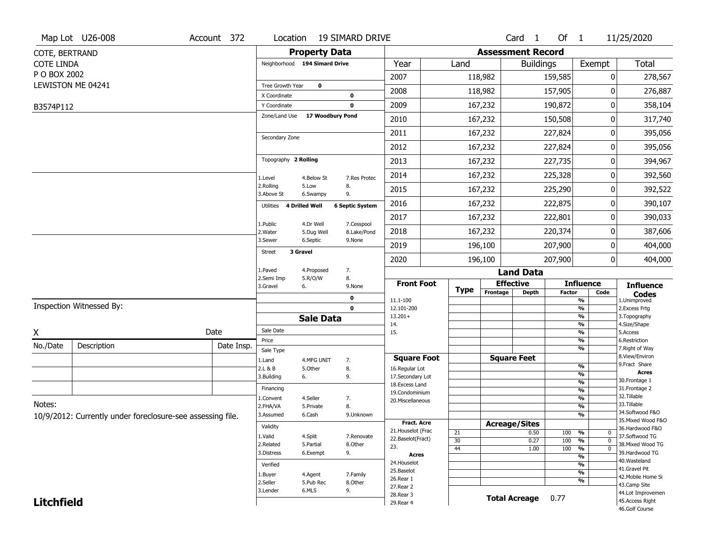|                                                            | Map Lot U26-008          | Account 372 | Location                                        |                       | 19 SIMARD DRIVE        |                                    |             |          | Card 1                       | Of $1$         |                                                             | 11/25/2020                         |  |
|------------------------------------------------------------|--------------------------|-------------|-------------------------------------------------|-----------------------|------------------------|------------------------------------|-------------|----------|------------------------------|----------------|-------------------------------------------------------------|------------------------------------|--|
| COTE, BERTRAND                                             |                          |             |                                                 | <b>Property Data</b>  |                        |                                    |             |          | <b>Assessment Record</b>     |                |                                                             |                                    |  |
| <b>COTE LINDA</b>                                          |                          |             | Neighborhood 194 Simard Drive                   |                       |                        | Year                               | Land        |          | <b>Buildings</b>             |                | Exempt                                                      | Total                              |  |
| P O BOX 2002                                               |                          |             |                                                 |                       |                        | 2007                               |             | 118,982  |                              | 159,585        | 0                                                           | 278,567                            |  |
|                                                            | LEWISTON ME 04241        |             | Tree Growth Year                                | $\mathbf 0$           |                        | 2008                               |             | 118,982  |                              | 157,905        | O                                                           | 276,887                            |  |
|                                                            |                          |             | X Coordinate<br>Y Coordinate                    |                       | 0<br>$\mathbf 0$       | 2009                               |             | 167,232  |                              | 190,872        | 0                                                           | 358,104                            |  |
| B3574P112                                                  |                          |             | Zone/Land Use                                   | 17 Woodbury Pond      |                        |                                    |             |          |                              |                |                                                             |                                    |  |
|                                                            |                          |             |                                                 |                       |                        | 2010                               |             | 167,232  |                              | 150,508        | 0                                                           | 317,740                            |  |
|                                                            |                          |             | Secondary Zone                                  |                       |                        | 2011                               |             | 167,232  |                              | 227,824        | 0                                                           | 395,056                            |  |
|                                                            |                          |             |                                                 |                       |                        | 2012                               |             | 167,232  |                              | 227,824        | 0                                                           | 395,056                            |  |
|                                                            |                          |             | Topography 2 Rolling                            |                       |                        | 2013                               |             | 167,232  |                              | 227,735        | 0                                                           | 394,967                            |  |
|                                                            |                          |             | 1.Level                                         | 4.Below St            | 7.Res Protec           | 2014                               |             | 167,232  |                              | 225,328        | 0                                                           | 392,560                            |  |
|                                                            |                          |             | 2.Rolling<br>3.Above St                         | 5.Low<br>6.Swampy     | 8.<br>9.               | 2015                               |             | 167,232  |                              | 225,290        | 0                                                           | 392,522                            |  |
|                                                            |                          |             | Utilities                                       | <b>4 Drilled Well</b> | <b>6 Septic System</b> | 2016                               |             | 167,232  |                              | 222,875        | 0                                                           | 390,107                            |  |
|                                                            |                          |             | 1.Public                                        | 4.Dr Well             | 7.Cesspool             | 2017                               |             | 167,232  |                              | 222,801        | 0                                                           | 390,033                            |  |
|                                                            |                          |             | 2. Water                                        | 5.Dug Well            | 8.Lake/Pond            | 2018                               |             | 167,232  |                              | 220,374        | 0                                                           | 387,606                            |  |
|                                                            |                          |             | 3.Sewer                                         | 6.Septic              | 9.None                 | 2019                               |             | 196,100  |                              | 207,900        | 0                                                           | 404,000                            |  |
|                                                            |                          |             | 3 Gravel<br><b>Street</b>                       |                       |                        | 2020                               |             | 196,100  |                              | 207,900        | 0                                                           | 404,000                            |  |
|                                                            |                          |             | 1.Paved<br>7.<br>4.Proposed<br><b>Land Data</b> |                       |                        |                                    |             |          |                              |                |                                                             |                                    |  |
|                                                            |                          |             | 2.Semi Imp<br>3.Gravel                          | 5.R/O/W<br>6.         | 8.<br>9.None           | <b>Front Foot</b>                  | <b>Type</b> |          | <b>Effective</b>             |                | <b>Influence</b>                                            | <b>Influence</b>                   |  |
|                                                            |                          |             |                                                 |                       | 0                      | 11.1-100                           |             | Frontage | Depth                        | <b>Factor</b>  | Code<br>$\overline{\frac{9}{6}}$                            | <b>Codes</b><br>1.Unimproved       |  |
|                                                            | Inspection Witnessed By: |             |                                                 |                       | $\mathbf 0$            | 12.101-200                         |             |          |                              |                | $\overline{\frac{9}{6}}$                                    | 2.Excess Frtg                      |  |
|                                                            |                          |             |                                                 | <b>Sale Data</b>      |                        | $13.201+$<br>14.                   |             |          |                              |                | $\frac{9}{6}$<br>$\frac{9}{6}$                              | 3. Topography<br>4.Size/Shape      |  |
| X                                                          |                          | Date        | Sale Date                                       |                       |                        | 15.                                |             |          |                              |                | $\frac{9}{6}$                                               | 5.Access                           |  |
| No./Date                                                   | Description              | Date Insp.  | Price<br>Sale Type                              |                       |                        |                                    |             |          |                              |                | %<br>%                                                      | 6.Restriction<br>7. Right of Way   |  |
|                                                            |                          |             | 1.Land                                          | 4.MFG UNIT            | 7.                     | <b>Square Foot</b>                 |             |          | <b>Square Feet</b>           |                |                                                             | 8.View/Environ                     |  |
|                                                            |                          |             | 2.L & B                                         | 5.0ther               | 8.                     | 16.Regular Lot                     |             |          |                              |                | $\frac{9}{6}$<br>%                                          | 9.Fract Share<br><b>Acres</b>      |  |
|                                                            |                          |             | 3.Building                                      | 6.                    | 9.                     | 17.Secondary Lot<br>18.Excess Land |             |          |                              |                | %                                                           | 30. Frontage 1                     |  |
|                                                            |                          |             | Financing                                       |                       |                        | 19.Condominium                     |             |          |                              |                | $\frac{9}{6}$                                               | 31. Frontage 2<br>32.Tillable      |  |
| Notes:                                                     |                          |             | 1.Convent<br>2.FHA/VA                           | 4.Seller<br>5.Private | 7.<br>8.               | 20.Miscellaneous                   |             |          |                              |                | $\frac{9}{6}$<br>%                                          | 33.Tillable                        |  |
|                                                            |                          |             | 3.Assumed                                       | 6.Cash                | 9.Unknown              |                                    |             |          |                              |                | %                                                           | 34.Softwood F&O                    |  |
| 10/9/2012: Currently under foreclosure-see assessing file. |                          |             | Validity                                        |                       |                        | <b>Fract. Acre</b>                 |             |          | <b>Acreage/Sites</b>         |                |                                                             | 35. Mixed Wood F&O                 |  |
|                                                            |                          |             | 1.Valid                                         | 4.Split               | 7.Renovate             | 21. Houselot (Frac                 | 21          |          | 0.50                         | 100            | %<br>0                                                      | 36.Hardwood F&O<br>37.Softwood TG  |  |
|                                                            |                          |             | 2.Related                                       | 5.Partial             | 8.Other                | 22.Baselot(Fract)<br>23.           | 30          |          | 0.27                         | 100            | $\overline{\mathfrak{o}}$<br>%                              | 38. Mixed Wood TG                  |  |
|                                                            |                          |             | 3.Distress                                      | 6.Exempt              | 9.                     | Acres                              | 44          |          | 1.00                         | 100            | $\frac{9}{6}$<br>$\overline{0}$<br>$\overline{\frac{9}{6}}$ | 39.Hardwood TG                     |  |
|                                                            |                          |             | Verified                                        |                       |                        | 24. Houselot                       |             |          |                              |                | $\overline{\frac{9}{6}}$                                    | 40. Wasteland                      |  |
|                                                            |                          |             | 1.Buyer                                         | 4.Agent               | 7.Family               | 25.Baselot                         |             |          |                              |                | $\frac{9}{6}$                                               | 41.Gravel Pit                      |  |
|                                                            |                          |             | 2.Seller                                        | 5.Pub Rec             | 8.Other                | 26.Rear 1                          |             |          |                              |                | %                                                           | 42. Mobile Home Si<br>43.Camp Site |  |
|                                                            |                          |             | 3.Lender                                        | 6.MLS                 | 9.                     | 27. Rear 2                         |             |          |                              |                |                                                             | 44.Lot Improvemen                  |  |
| <b>Litchfield</b>                                          |                          |             |                                                 |                       |                        | 28.Rear 3<br>29. Rear 4            |             |          | <b>Total Acreage</b><br>0.77 |                |                                                             | 45.Access Right                    |  |
|                                                            |                          |             |                                                 |                       |                        |                                    |             |          |                              | 46.Golf Course |                                                             |                                    |  |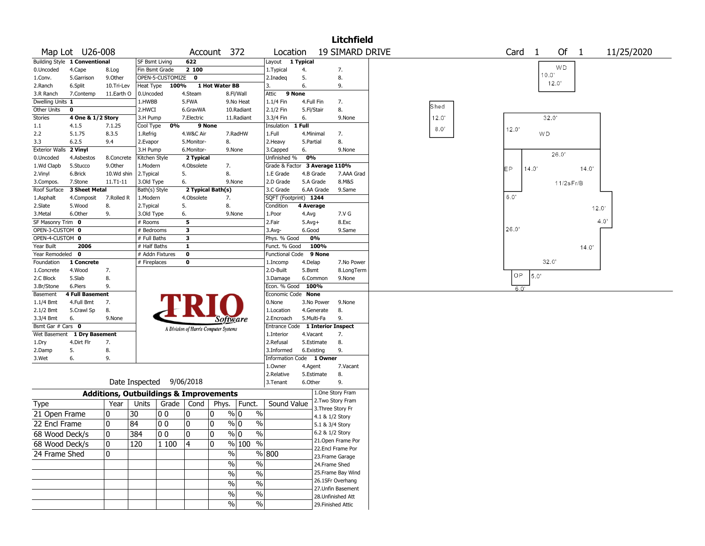|                       |                               |            |                                                   |                  |                         |                                       |                         |                               |                   |                    | <b>Litchfield</b>  |       |       |                   |       |                 |       |            |
|-----------------------|-------------------------------|------------|---------------------------------------------------|------------------|-------------------------|---------------------------------------|-------------------------|-------------------------------|-------------------|--------------------|--------------------|-------|-------|-------------------|-------|-----------------|-------|------------|
|                       | Map Lot U26-008               |            |                                                   |                  |                         | Account 372                           |                         | Location                      |                   |                    | 19 SIMARD DRIVE    |       |       | Card <sub>1</sub> |       | Of 1            |       | 11/25/2020 |
|                       | Building Style 1 Conventional |            | <b>SF Bsmt Living</b>                             |                  | 622                     |                                       |                         | Layout 1 Typical              |                   |                    |                    |       |       |                   |       | WD              |       |            |
| 0.Uncoded             | 4.Cape                        | 8.Log      | Fin Bsmt Grade                                    |                  | 2 100                   |                                       |                         | 1. Typical                    | 4.                |                    | 7.                 |       |       |                   | 10.0" |                 |       |            |
| 1.Conv.               | 5.Garrison                    | 9.0ther    |                                                   | OPEN-5-CUSTOMIZE | $\mathbf 0$             |                                       |                         | 2.Inadeg                      | 5.                |                    | 8.                 |       |       |                   |       | 12.0'           |       |            |
| 2.Ranch               | 6.Split                       | 10.Tri-Lev | Heat Type                                         | 100%             |                         | 1 Hot Water BB                        |                         | 3.                            | 6.                |                    | 9.                 |       |       |                   |       |                 |       |            |
| 3.R Ranch             | 7.Contemp                     | 11.Earth O | 0.Uncoded                                         |                  | 4.Steam                 |                                       | 8.Fl/Wall               | Attic                         | 9 None            |                    |                    |       |       |                   |       |                 |       |            |
| Dwelling Units 1      |                               |            | 1.HWBB                                            |                  | 5.FWA                   |                                       | 9.No Heat               | 1.1/4 Fin                     | 4.Full Fin        |                    | 7.                 | Shed  |       |                   |       |                 |       |            |
| Other Units           | $\mathbf 0$                   |            | 2.HWCI                                            |                  | 6.GravWA                |                                       | 10.Radiant              | 2.1/2 Fin                     | 5.Fl/Stair        |                    | 8.                 |       |       |                   |       |                 |       |            |
| Stories               | 4 One & 1/2 Story             |            | 3.H Pump                                          |                  | 7.Electric              |                                       | 11.Radiant              | 3.3/4 Fin                     | 6.                |                    | 9.None             | 12.0' |       |                   | 32.0' |                 |       |            |
| $1.1\,$               | 4.1.5                         | 7.1.25     | Cool Type                                         | 0%               |                         | 9 None                                |                         | Insulation                    | 1 Full            |                    |                    | 8.0'  | 12.0' |                   |       |                 |       |            |
| 2.2                   | 5.1.75                        | 8.3.5      | 1.Refrig                                          |                  | 4.W&C Air               |                                       | 7.RadHW                 | 1.Full                        | 4.Minimal         |                    | 7.                 |       |       |                   | WD    |                 |       |            |
| 3.3                   | 6.2.5                         | 9.4        | 2.Evapor                                          |                  | 5.Monitor-              | 8.                                    |                         | 2. Heavy                      | 5.Partial         |                    | 8.                 |       |       |                   |       |                 |       |            |
| <b>Exterior Walls</b> | 2 Vinyl                       |            | 3.H Pump                                          |                  | 6.Monitor-              |                                       | 9.None                  | 3.Capped                      | 6.                |                    | 9.None             |       |       |                   |       | 26.0'           |       |            |
| 0.Uncoded             | 4.Asbestos                    | 8.Concrete | Kitchen Style                                     |                  | 2 Typical               |                                       |                         | Unfinished %                  | 0%                |                    |                    |       |       |                   |       |                 |       |            |
| 1.Wd Clapb            | 5.Stucco                      | 9.0ther    | 1.Modern                                          |                  | 4.Obsolete              | 7.                                    |                         | Grade & Factor 3 Average 110% |                   |                    |                    |       | EР    | 14.0'             |       |                 | 14.0' |            |
| 2.Vinyl               | 6.Brick                       | 10.Wd shin | 2.Typical                                         |                  | 5.                      | 8.                                    |                         | 1.E Grade                     | 4.B Grade         |                    | 7.AAA Grad         |       |       |                   |       |                 |       |            |
| 3.Compos.             | 7.Stone                       | 11.T1-11   | 3.Old Type                                        |                  | 6.                      |                                       | 9.None                  | 2.D Grade                     | 5.A Grade         |                    | 8.M&S              |       |       |                   |       | $11/2$ s $Fr/B$ |       |            |
| Roof Surface          | 3 Sheet Metal                 |            | Bath(s) Style                                     |                  |                         | 2 Typical Bath(s)                     |                         | 3.C Grade                     |                   | 6.AA Grade         | 9.Same             |       |       |                   |       |                 |       |            |
| 1.Asphalt             | 4.Composit                    | 7.Rolled R | 1.Modern                                          |                  | 4.Obsolete              | 7.                                    |                         | SQFT (Footprint) 1244         |                   |                    |                    |       | 6.0'  |                   |       |                 |       |            |
| 2.Slate               | 5.Wood                        | 8.         | 2. Typical                                        |                  | 5.                      | 8.                                    |                         | Condition                     | 4 Average         |                    |                    |       |       |                   |       |                 |       | 12.0'      |
| 3.Metal               | 6.Other                       | 9.         | 3.Old Type                                        |                  | 6.                      |                                       | 9.None                  | 1.Poor                        | 4.Avg             |                    | 7.V G              |       |       |                   |       |                 |       |            |
| SF Masonry Trim 0     |                               |            | # Rooms                                           |                  | 5                       |                                       |                         | 2.Fair                        | $5.Avg+$          |                    | 8.Exc              |       |       |                   |       |                 |       | 4.0'       |
| OPEN-3-CUSTOM 0       |                               |            | # Bedrooms                                        |                  | $\overline{\mathbf{3}}$ |                                       |                         | 3.Avg-                        | 6.Good            |                    | 9.Same             |       | 26.0' |                   |       |                 |       |            |
| OPEN-4-CUSTOM 0       |                               |            | # Full Baths                                      |                  | 3                       |                                       |                         | Phys. % Good                  |                   | 0%                 |                    |       |       |                   |       |                 |       |            |
| Year Built            | 2006                          |            | # Half Baths                                      |                  | $\mathbf{1}$            |                                       |                         | Funct. % Good                 |                   | 100%               |                    |       |       |                   |       |                 | 14.0' |            |
| Year Remodeled 0      |                               |            | # Addn Fixtures                                   |                  | $\mathbf 0$             |                                       |                         | <b>Functional Code</b>        |                   | 9 None             |                    |       |       |                   |       |                 |       |            |
| Foundation            | 1 Concrete                    |            | # Fireplaces                                      |                  | $\mathbf 0$             |                                       |                         | 1.Incomp                      | 4.Delap           |                    | 7.No Power         |       |       |                   | 32.0' |                 |       |            |
| 1.Concrete            | 4.Wood                        | 7.         |                                                   |                  |                         |                                       |                         | 2.0-Built                     | 5.Bsmt            |                    | 8.LongTerm         |       |       |                   |       |                 |       |            |
| 2.C Block             | 5.Slab                        | 8.         |                                                   |                  |                         |                                       |                         | 3.Damage                      |                   | 6.Common           | 9.None             |       |       | OP                | 5.0   |                 |       |            |
| 3.Br/Stone            | 6.Piers                       | 9.         |                                                   |                  |                         |                                       |                         |                               | Econ. % Good 100% |                    |                    |       |       | 6.0'              |       |                 |       |            |
| Basement              | 4 Full Basement               |            |                                                   |                  |                         |                                       |                         | Economic Code None            |                   |                    |                    |       |       |                   |       |                 |       |            |
| 1.1/4 Bmt             | 4.Full Bmt                    | 7.         |                                                   |                  |                         |                                       |                         | 0.None                        |                   | 3.No Power         | 9.None             |       |       |                   |       |                 |       |            |
| 2.1/2 Bmt             | 5.Crawl Sp                    | 8.         |                                                   |                  |                         |                                       |                         | 1.Location                    |                   | 4.Generate         | 8.                 |       |       |                   |       |                 |       |            |
| 3.3/4 Bmt             | 6.                            | 9.None     |                                                   |                  |                         | Software                              |                         | 2.Encroach                    | 5.Multi-Fa        |                    | 9.                 |       |       |                   |       |                 |       |            |
| Bsmt Gar # Cars 0     |                               |            |                                                   |                  |                         | A Division of Harris Computer Systems |                         | Entrance Code                 |                   | 1 Interior Inspect |                    |       |       |                   |       |                 |       |            |
| Wet Basement          | 1 Dry Basement                |            |                                                   |                  |                         |                                       |                         | 1.Interior                    | 4.Vacant          |                    | 7.                 |       |       |                   |       |                 |       |            |
| 1.Dry                 | 4.Dirt Flr                    | 7.         |                                                   |                  |                         |                                       |                         | 2.Refusal                     |                   | 5.Estimate         | 8.                 |       |       |                   |       |                 |       |            |
| 2.Damp                | 5.                            | 8.         |                                                   |                  |                         |                                       |                         | 3.Informed                    | 6.Existing        |                    | 9.                 |       |       |                   |       |                 |       |            |
| 3.Wet                 | 6.                            | 9.         |                                                   |                  |                         |                                       |                         | Information Code 1 Owner      |                   |                    |                    |       |       |                   |       |                 |       |            |
|                       |                               |            |                                                   |                  |                         |                                       |                         | 1.0wner                       | 4.Agent           |                    | 7.Vacant           |       |       |                   |       |                 |       |            |
|                       |                               |            |                                                   |                  |                         |                                       |                         | 2.Relative                    |                   | 5.Estimate         | 8.                 |       |       |                   |       |                 |       |            |
|                       |                               |            | Date Inspected                                    |                  | 9/06/2018               |                                       |                         | 3. Tenant                     | 6.Other           |                    | 9.                 |       |       |                   |       |                 |       |            |
|                       |                               |            | <b>Additions, Outbuildings &amp; Improvements</b> |                  |                         |                                       |                         |                               |                   |                    | 1.One Story Fram   |       |       |                   |       |                 |       |            |
| Type                  |                               | Year       | Units                                             | Grade            | Cond                    |                                       | Phys.   Funct.          | Sound Value                   |                   |                    | 2. Two Story Fram  |       |       |                   |       |                 |       |            |
| 21 Open Frame         |                               | 10         | 30                                                | 00               | 0                       | 10                                    | $\frac{9}{0}$ 0<br>$\%$ |                               |                   | 3. Three Story Fr  |                    |       |       |                   |       |                 |       |            |
|                       |                               |            |                                                   |                  |                         |                                       |                         |                               |                   | 4.1 & 1/2 Story    |                    |       |       |                   |       |                 |       |            |
| 22 Encl Frame         |                               | 0          | 84                                                | 00               | 0                       | 10                                    | $\frac{9}{0}$ 0<br>$\%$ |                               |                   | 5.1 & 3/4 Story    |                    |       |       |                   |       |                 |       |            |
| 68 Wood Deck/s        |                               | 0          | 384                                               | 00               | 10                      | ١o                                    | $\sqrt{2}$<br>% 0       |                               |                   | 6.2 & 1/2 Story    |                    |       |       |                   |       |                 |       |            |
| 68 Wood Deck/s        |                               | 10         | 120                                               | $\vert$ 1 100    | 4                       | 10                                    | % 100 %                 |                               |                   |                    | 21. Open Frame Por |       |       |                   |       |                 |       |            |
| 24 Frame Shed         |                               | 10         |                                                   |                  |                         | $\sqrt{2}$                            |                         | % 800                         |                   |                    | 22.Encl Frame Por  |       |       |                   |       |                 |       |            |
|                       |                               |            |                                                   |                  |                         |                                       |                         |                               |                   | 23. Frame Garage   |                    |       |       |                   |       |                 |       |            |
|                       |                               |            |                                                   |                  |                         | $\%$                                  | $\sqrt{6}$              |                               |                   | 24.Frame Shed      |                    |       |       |                   |       |                 |       |            |
|                       |                               |            |                                                   |                  |                         | $\%$                                  | $\frac{0}{6}$           |                               |                   |                    | 25.Frame Bay Wind  |       |       |                   |       |                 |       |            |
|                       |                               |            | $\%$                                              | $\sqrt{6}$       |                         |                                       |                         | 26.1SFr Overhang              |                   |                    |                    |       |       |                   |       |                 |       |            |
|                       |                               |            |                                                   |                  |                         | $\%$                                  | $\sqrt{6}$              |                               |                   |                    | 27.Unfin Basement  |       |       |                   |       |                 |       |            |
|                       |                               |            |                                                   |                  |                         |                                       |                         |                               |                   | 28.Unfinished Att  |                    |       |       |                   |       |                 |       |            |
|                       |                               |            |                                                   |                  |                         | $\%$                                  | %                       |                               |                   | 29. Finished Attic |                    |       |       |                   |       |                 |       |            |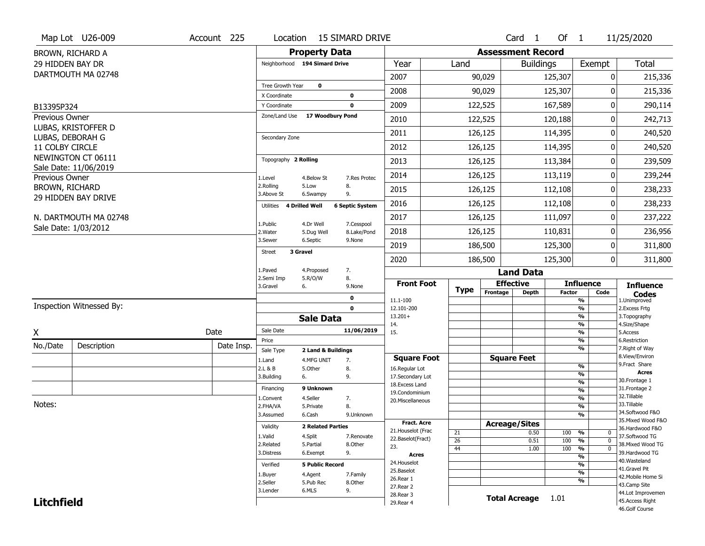|                   | Map Lot U26-009          | Account 225 | Location                      |                          | <b>15 SIMARD DRIVE</b>     |                                     |                       |                          | Card <sub>1</sub>  | Of $1$        |                                | 11/25/2020                        |
|-------------------|--------------------------|-------------|-------------------------------|--------------------------|----------------------------|-------------------------------------|-----------------------|--------------------------|--------------------|---------------|--------------------------------|-----------------------------------|
|                   | BROWN, RICHARD A         |             |                               | <b>Property Data</b>     |                            |                                     |                       | <b>Assessment Record</b> |                    |               |                                |                                   |
| 29 HIDDEN BAY DR  |                          |             | Neighborhood 194 Simard Drive |                          |                            | Year                                | Land                  |                          | <b>Buildings</b>   |               | Exempt                         | <b>Total</b>                      |
|                   | DARTMOUTH MA 02748       |             |                               |                          |                            | 2007                                |                       | 90,029                   |                    | 125,307       | 0                              | 215,336                           |
|                   |                          |             | Tree Growth Year              | $\mathbf{o}$             |                            | 2008                                |                       | 90,029                   |                    | 125,307       | 0                              | 215,336                           |
|                   |                          |             | X Coordinate<br>Y Coordinate  |                          | 0<br>$\mathbf 0$           | 2009                                |                       | 122,525                  |                    | 167,589       | 0                              | 290,114                           |
| B13395P324        |                          |             | Zone/Land Use                 | 17 Woodbury Pond         |                            |                                     |                       |                          |                    |               |                                |                                   |
| Previous Owner    | LUBAS, KRISTOFFER D      |             |                               |                          |                            | 2010                                |                       | 122,525                  |                    | 120,188       | 0                              | 242,713                           |
| LUBAS, DEBORAH G  |                          |             | Secondary Zone                |                          |                            | 2011                                |                       | 126,125                  |                    | 114,395       | 0                              | 240,520                           |
| 11 COLBY CIRCLE   |                          |             |                               |                          |                            | 2012                                |                       | 126,125                  |                    | 114,395       | 0                              | 240,520                           |
|                   | NEWINGTON CT 06111       |             | Topography 2 Rolling          |                          |                            | 2013                                |                       | 126,125                  |                    | 113,384       | 0                              | 239,509                           |
|                   | Sale Date: 11/06/2019    |             |                               |                          |                            | 2014                                |                       | 126,125                  |                    | 113,119       | 0                              | 239,244                           |
| Previous Owner    |                          |             | 1.Level<br>2.Rolling          | 4.Below St<br>5.Low      | 7.Res Protec<br>8.         |                                     |                       |                          |                    |               |                                |                                   |
| BROWN, RICHARD    | 29 HIDDEN BAY DRIVE      |             | 3.Above St                    | 6.Swampy                 | 9.                         | 2015                                |                       | 126,125                  |                    | 112,108       | 0                              | 238,233                           |
|                   |                          |             | Utilities 4 Drilled Well      |                          | <b>6 Septic System</b>     | 2016                                |                       | 126,125                  |                    | 112,108       | 0                              | 238,233                           |
|                   | N. DARTMOUTH MA 02748    |             | 1.Public                      | 4.Dr Well                | 7.Cesspool                 | 2017                                |                       | 126,125                  |                    | 111,097       | 0                              | 237,222                           |
|                   | Sale Date: 1/03/2012     |             | 2. Water                      | 5.Dug Well               | 8.Lake/Pond                | 2018                                |                       | 126,125                  |                    | 110,831       | 0                              | 236,956                           |
|                   |                          |             | 3.Sewer                       | 6.Septic                 | 9.None                     | 2019                                |                       | 186,500                  |                    | 125,300       | 0                              | 311,800                           |
|                   |                          |             | 3 Gravel<br>Street            |                          |                            | 2020                                |                       | 186,500                  |                    | 125,300       | $\mathbf 0$                    | 311,800                           |
|                   |                          |             | 1.Paved                       | 4.Proposed               | 7.                         |                                     |                       |                          | <b>Land Data</b>   |               |                                |                                   |
|                   |                          |             | 2.Semi Imp                    | 5.R/O/W                  | 8.                         | <b>Front Foot</b>                   |                       | <b>Effective</b>         |                    |               | <b>Influence</b>               |                                   |
|                   |                          |             | 3.Gravel<br>6.                |                          | 9.None                     |                                     | <b>Type</b>           | Frontage                 | <b>Depth</b>       | <b>Factor</b> | Code                           | <b>Influence</b><br><b>Codes</b>  |
|                   | Inspection Witnessed By: |             |                               |                          | $\mathbf 0$<br>$\mathbf 0$ | 11.1-100<br>12.101-200              |                       |                          |                    |               | $\frac{9}{6}$<br>$\frac{9}{6}$ | 1.Unimproved                      |
|                   |                          |             |                               | <b>Sale Data</b>         |                            | $13.201+$                           |                       |                          |                    |               | $\frac{9}{6}$                  | 2. Excess Frtg<br>3. Topography   |
|                   |                          |             | Sale Date                     |                          | 11/06/2019                 | 14.                                 |                       |                          |                    |               | $\frac{9}{6}$                  | 4.Size/Shape                      |
| X                 |                          | Date        | Price                         |                          |                            | 15.                                 |                       |                          |                    |               | $\frac{9}{6}$<br>%             | 5.Access<br>6.Restriction         |
| No./Date          | Description              | Date Insp.  | Sale Type                     | 2 Land & Buildings       |                            |                                     |                       |                          |                    |               | $\frac{9}{6}$                  | 7. Right of Way                   |
|                   |                          |             | 1.Land                        | 4.MFG UNIT               | 7.                         | <b>Square Foot</b>                  |                       | <b>Square Feet</b>       |                    |               |                                | 8.View/Environ<br>9. Fract Share  |
|                   |                          |             | 2.L & B                       | 5.Other                  | 8.                         | 16.Regular Lot                      |                       |                          |                    |               | $\frac{9}{6}$<br>%             | <b>Acres</b>                      |
|                   |                          |             | 3.Building<br>6.              |                          | 9.                         | 17.Secondary Lot<br>18. Excess Land |                       |                          |                    |               | %                              | 30. Frontage 1                    |
|                   |                          |             | Financing                     | 9 Unknown                |                            | 19.Condominium                      |                       |                          |                    |               | %                              | 31. Frontage 2                    |
| Notes:            |                          |             | 1.Convent                     | 4.Seller                 | 7.                         | 20.Miscellaneous                    |                       |                          |                    |               | %                              | 32.Tillable<br>33.Tillable        |
|                   |                          |             | 2.FHA/VA                      | 5.Private                | 8.                         |                                     |                       |                          |                    |               | %                              | 34.Softwood F&O                   |
|                   |                          |             | 3.Assumed                     | 6.Cash                   | 9.Unknown                  | <b>Fract. Acre</b>                  |                       |                          |                    |               | %                              | 35. Mixed Wood F&O                |
|                   |                          |             | Validity                      | <b>2 Related Parties</b> |                            | 21. Houselot (Frac                  |                       | <b>Acreage/Sites</b>     |                    |               |                                | 36.Hardwood F&O                   |
|                   |                          |             | 1.Valid                       | 4.Split                  | 7.Renovate                 | 22.Baselot(Fract)                   | 21<br>$\overline{26}$ |                          | 0.50<br>0.51       | 100 %<br>100  | 0<br>%<br>$\mathbf{0}$         | 37.Softwood TG                    |
|                   |                          |             | 2.Related                     | 5.Partial                | 8.Other                    | 23.                                 | 44                    |                          |                    |               | %<br>$\Omega$                  | 38. Mixed Wood TG                 |
|                   |                          |             |                               | 9.<br>6.Exempt           |                            |                                     |                       |                          | 1.00<br>100        |               |                                | 39.Hardwood TG                    |
|                   |                          |             | 3.Distress                    |                          |                            | <b>Acres</b>                        |                       |                          |                    |               | %                              |                                   |
|                   |                          |             | Verified                      | <b>5 Public Record</b>   |                            | 24. Houselot                        |                       |                          |                    |               | $\overline{\frac{9}{6}}$       | 40. Wasteland                     |
|                   |                          |             |                               |                          | 7.Family                   | 25.Baselot                          |                       |                          |                    |               | $\frac{9}{6}$                  | 41.Gravel Pit                     |
|                   |                          |             | 1.Buyer<br>2.Seller           | 4.Agent<br>5.Pub Rec     | 8.Other                    | 26.Rear 1                           |                       |                          |                    |               | $\frac{9}{6}$                  | 42. Mobile Home Si                |
|                   |                          |             | 3.Lender                      | 6.MLS                    | 9.                         | 27. Rear 2                          |                       |                          |                    |               |                                | 43.Camp Site<br>44.Lot Improvemen |
| <b>Litchfield</b> |                          |             |                               |                          |                            | 28. Rear 3<br>29. Rear 4            |                       |                          | Total Acreage 1.01 |               |                                | 45.Access Right                   |